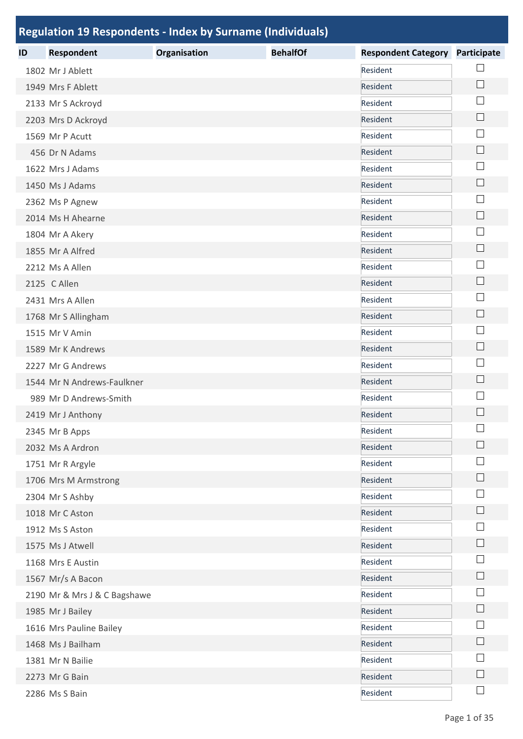|    | <b>Regulation 19 Respondents - Index by Surname (Individuals)</b> |              |                 |                            |                    |
|----|-------------------------------------------------------------------|--------------|-----------------|----------------------------|--------------------|
| ID | <b>Respondent</b>                                                 | Organisation | <b>BehalfOf</b> | <b>Respondent Category</b> | <b>Participate</b> |
|    | 1802 Mr J Ablett                                                  |              |                 | Resident                   |                    |
|    | 1949 Mrs F Ablett                                                 |              |                 | Resident                   | $\Box$             |
|    | 2133 Mr S Ackroyd                                                 |              |                 | Resident                   |                    |
|    | 2203 Mrs D Ackroyd                                                |              |                 | Resident                   |                    |
|    | 1569 Mr P Acutt                                                   |              |                 | Resident                   | $\mathbf{I}$       |
|    | 456 Dr N Adams                                                    |              |                 | Resident                   | $\Box$             |
|    | 1622 Mrs J Adams                                                  |              |                 | Resident                   |                    |
|    | 1450 Ms J Adams                                                   |              |                 | Resident                   |                    |
|    | 2362 Ms P Agnew                                                   |              |                 | Resident                   |                    |
|    | 2014 Ms H Ahearne                                                 |              |                 | Resident                   | $\mathbf{L}$       |
|    | 1804 Mr A Akery                                                   |              |                 | Resident                   |                    |
|    | 1855 Mr A Alfred                                                  |              |                 | Resident                   |                    |
|    | 2212 Ms A Allen                                                   |              |                 | Resident                   |                    |
|    | 2125 C Allen                                                      |              |                 | Resident                   | $\Box$             |
|    | 2431 Mrs A Allen                                                  |              |                 | Resident                   |                    |
|    | 1768 Mr S Allingham                                               |              |                 | Resident                   | $\mathsf{L}$       |
|    | 1515 Mr V Amin                                                    |              |                 | Resident                   |                    |
|    | 1589 Mr K Andrews                                                 |              |                 | Resident                   | $\Box$             |
|    | 2227 Mr G Andrews                                                 |              |                 | Resident                   | $\mathbf{I}$       |
|    | 1544 Mr N Andrews-Faulkner                                        |              |                 | Resident                   |                    |
|    | 989 Mr D Andrews-Smith                                            |              |                 | Resident                   |                    |
|    | 2419 Mr J Anthony                                                 |              |                 | Resident                   |                    |
|    | 2345 Mr B Apps                                                    |              |                 | Resident                   |                    |
|    | 2032 Ms A Ardron                                                  |              |                 | Resident                   |                    |
|    | 1751 Mr R Argyle                                                  |              |                 | Resident                   |                    |
|    | 1706 Mrs M Armstrong                                              |              |                 | Resident                   |                    |
|    | 2304 Mr S Ashby                                                   |              |                 | Resident                   |                    |
|    | 1018 Mr C Aston                                                   |              |                 | Resident                   |                    |
|    | 1912 Ms S Aston                                                   |              |                 | Resident                   |                    |
|    | 1575 Ms J Atwell                                                  |              |                 | Resident                   |                    |
|    | 1168 Mrs E Austin                                                 |              |                 | Resident                   |                    |
|    | 1567 Mr/s A Bacon                                                 |              |                 | Resident                   |                    |
|    | 2190 Mr & Mrs J & C Bagshawe                                      |              |                 | Resident                   |                    |
|    | 1985 Mr J Bailey                                                  |              |                 | Resident                   |                    |
|    | 1616 Mrs Pauline Bailey                                           |              |                 | Resident                   |                    |
|    | 1468 Ms J Bailham                                                 |              |                 | Resident                   |                    |
|    | 1381 Mr N Bailie                                                  |              |                 | Resident                   |                    |
|    | 2273 Mr G Bain                                                    |              |                 | Resident                   |                    |
|    | 2286 Ms S Bain                                                    |              |                 | Resident                   |                    |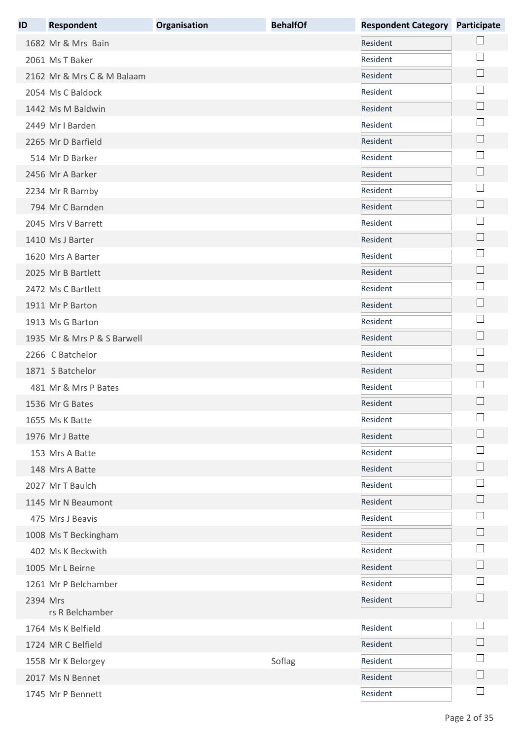| ID       | <b>Respondent</b>           | Organisation | <b>BehalfOf</b> | <b>Respondent Category</b> | <b>Participate</b>          |
|----------|-----------------------------|--------------|-----------------|----------------------------|-----------------------------|
|          | 1682 Mr & Mrs Bain          |              |                 | Resident                   |                             |
|          | 2061 Ms T Baker             |              |                 | Resident                   |                             |
|          | 2162 Mr & Mrs C & M Balaam  |              |                 | Resident                   |                             |
|          | 2054 Ms C Baldock           |              |                 | Resident                   |                             |
|          | 1442 Ms M Baldwin           |              |                 | Resident                   | $\mathbb{R}^n$              |
|          | 2449 Mr I Barden            |              |                 | Resident                   |                             |
|          | 2265 Mr D Barfield          |              |                 | Resident                   |                             |
|          | 514 Mr D Barker             |              |                 | Resident                   |                             |
|          | 2456 Mr A Barker            |              |                 | Resident                   |                             |
|          | 2234 Mr R Barnby            |              |                 | Resident                   |                             |
|          | 794 Mr C Barnden            |              |                 | Resident                   |                             |
|          | 2045 Mrs V Barrett          |              |                 | Resident                   |                             |
|          | 1410 Ms J Barter            |              |                 | Resident                   | $\mathbb{R}^n$              |
|          | 1620 Mrs A Barter           |              |                 | Resident                   |                             |
|          | 2025 Mr B Bartlett          |              |                 | Resident                   | $\mathcal{L}_{\mathcal{A}}$ |
|          | 2472 Ms C Bartlett          |              |                 | Resident                   |                             |
|          | 1911 Mr P Barton            |              |                 | Resident                   |                             |
|          | 1913 Ms G Barton            |              |                 | Resident                   |                             |
|          | 1935 Mr & Mrs P & S Barwell |              |                 | Resident                   |                             |
|          | 2266 C Batchelor            |              |                 | Resident                   |                             |
|          | 1871 S Batchelor            |              |                 | Resident                   |                             |
|          | 481 Mr & Mrs P Bates        |              |                 | Resident                   |                             |
|          | 1536 Mr G Bates             |              |                 | Resident                   |                             |
|          | 1655 Ms K Batte             |              |                 | Resident                   |                             |
|          | 1976 Mr J Batte             |              |                 | Resident                   |                             |
|          | 153 Mrs A Batte             |              |                 | Resident                   |                             |
|          | 148 Mrs A Batte             |              |                 | Resident                   |                             |
|          | 2027 Mr T Baulch            |              |                 | Resident                   |                             |
|          | 1145 Mr N Beaumont          |              |                 | Resident                   |                             |
|          | 475 Mrs J Beavis            |              |                 | Resident                   |                             |
|          | 1008 Ms T Beckingham        |              |                 | Resident                   |                             |
|          | 402 Ms K Beckwith           |              |                 | Resident                   |                             |
|          | 1005 Mr L Beirne            |              |                 | Resident                   |                             |
|          | 1261 Mr P Belchamber        |              |                 | Resident                   |                             |
| 2394 Mrs | rs R Belchamber             |              |                 | Resident                   |                             |
|          | 1764 Ms K Belfield          |              |                 | Resident                   |                             |
|          | 1724 MR C Belfield          |              |                 | Resident                   |                             |
|          | 1558 Mr K Belorgey          |              | Soflag          | Resident                   |                             |
|          | 2017 Ms N Bennet            |              |                 | Resident                   |                             |
|          | 1745 Mr P Bennett           |              |                 | Resident                   | $\vert$                     |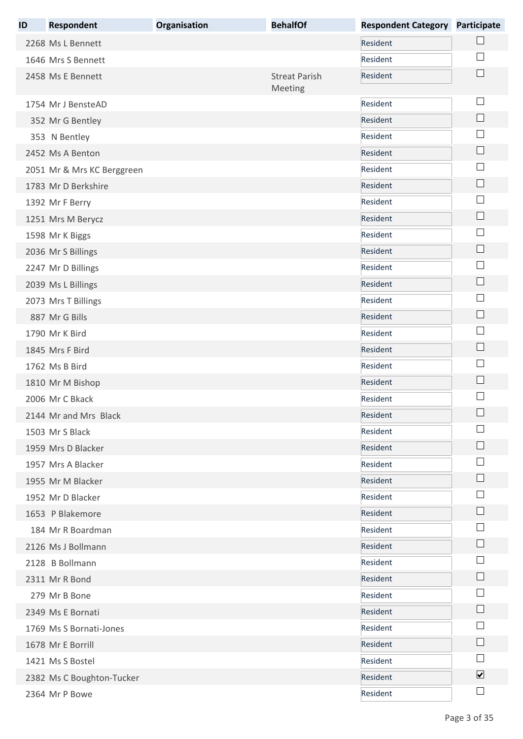| ID | <b>Respondent</b>          | Organisation | <b>BehalfOf</b>                 | <b>Respondent Category</b> | <b>Participate</b>      |
|----|----------------------------|--------------|---------------------------------|----------------------------|-------------------------|
|    | 2268 Ms L Bennett          |              |                                 | Resident                   |                         |
|    | 1646 Mrs S Bennett         |              |                                 | Resident                   |                         |
|    | 2458 Ms E Bennett          |              | <b>Streat Parish</b><br>Meeting | Resident                   |                         |
|    | 1754 Mr J BensteAD         |              |                                 | Resident                   |                         |
|    | 352 Mr G Bentley           |              |                                 | Resident                   |                         |
|    | 353 N Bentley              |              |                                 | Resident                   |                         |
|    | 2452 Ms A Benton           |              |                                 | Resident                   | $\Box$                  |
|    | 2051 Mr & Mrs KC Berggreen |              |                                 | Resident                   |                         |
|    | 1783 Mr D Berkshire        |              |                                 | Resident                   |                         |
|    | 1392 Mr F Berry            |              |                                 | Resident                   |                         |
|    | 1251 Mrs M Berycz          |              |                                 | Resident                   |                         |
|    | 1598 Mr K Biggs            |              |                                 | Resident                   |                         |
|    | 2036 Mr S Billings         |              |                                 | Resident                   |                         |
|    | 2247 Mr D Billings         |              |                                 | Resident                   |                         |
|    | 2039 Ms L Billings         |              |                                 | Resident                   | $\vert \ \ \vert$       |
|    | 2073 Mrs T Billings        |              |                                 | Resident                   |                         |
|    | 887 Mr G Bills             |              |                                 | Resident                   | $\Box$                  |
|    | 1790 Mr K Bird             |              |                                 | Resident                   |                         |
|    | 1845 Mrs F Bird            |              |                                 | Resident                   |                         |
|    | 1762 Ms B Bird             |              |                                 | Resident                   |                         |
|    | 1810 Mr M Bishop           |              |                                 | Resident                   |                         |
|    | 2006 Mr C Bkack            |              |                                 | Resident                   |                         |
|    | 2144 Mr and Mrs Black      |              |                                 | Resident                   | $\sqcup$                |
|    | 1503 Mr S Black            |              |                                 | Resident                   |                         |
|    | 1959 Mrs D Blacker         |              |                                 | Resident                   |                         |
|    | 1957 Mrs A Blacker         |              |                                 | Resident                   |                         |
|    | 1955 Mr M Blacker          |              |                                 | Resident                   |                         |
|    | 1952 Mr D Blacker          |              |                                 | Resident                   |                         |
|    | 1653 P Blakemore           |              |                                 | Resident                   |                         |
|    | 184 Mr R Boardman          |              |                                 | Resident                   |                         |
|    | 2126 Ms J Bollmann         |              |                                 | Resident                   |                         |
|    | 2128 B Bollmann            |              |                                 | Resident                   |                         |
|    | 2311 Mr R Bond             |              |                                 | Resident                   |                         |
|    | 279 Mr B Bone              |              |                                 | Resident                   |                         |
|    | 2349 Ms E Bornati          |              |                                 | Resident                   |                         |
|    | 1769 Ms S Bornati-Jones    |              |                                 | Resident                   |                         |
|    | 1678 Mr E Borrill          |              |                                 | Resident                   |                         |
|    | 1421 Ms S Bostel           |              |                                 | Resident                   |                         |
|    | 2382 Ms C Boughton-Tucker  |              |                                 | Resident                   | $\overline{\mathbf{v}}$ |
|    | 2364 Mr P Bowe             |              |                                 | Resident                   |                         |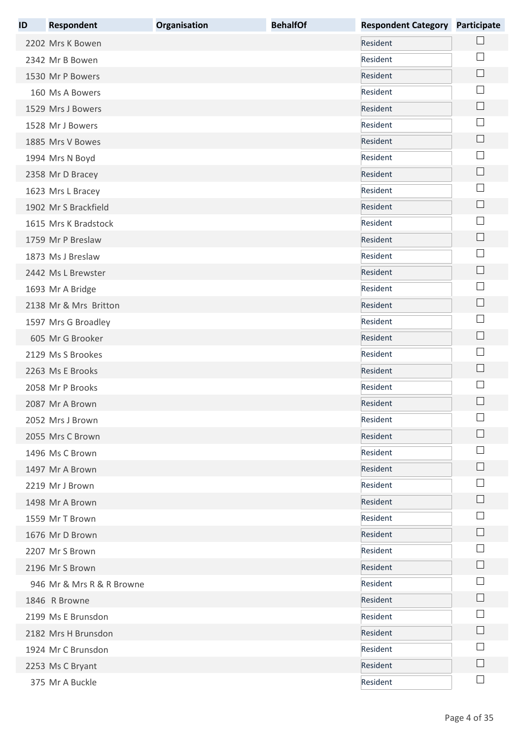| ID | <b>Respondent</b>         | Organisation | <b>BehalfOf</b> | <b>Respondent Category Participate</b> |                             |
|----|---------------------------|--------------|-----------------|----------------------------------------|-----------------------------|
|    | 2202 Mrs K Bowen          |              |                 | Resident                               |                             |
|    | 2342 Mr B Bowen           |              |                 | Resident                               | $\sim$                      |
|    | 1530 Mr P Bowers          |              |                 | Resident                               | $\Box$                      |
|    | 160 Ms A Bowers           |              |                 | Resident                               |                             |
|    | 1529 Mrs J Bowers         |              |                 | Resident                               | $\Box$                      |
|    | 1528 Mr J Bowers          |              |                 | Resident                               |                             |
|    | 1885 Mrs V Bowes          |              |                 | Resident                               | $\Box$                      |
|    | 1994 Mrs N Boyd           |              |                 | Resident                               |                             |
|    | 2358 Mr D Bracey          |              |                 | Resident                               | $\Box$                      |
|    | 1623 Mrs L Bracey         |              |                 | Resident                               | $\mathbb{R}^n$              |
|    | 1902 Mr S Brackfield      |              |                 | Resident                               | $\Box$                      |
|    | 1615 Mrs K Bradstock      |              |                 | Resident                               |                             |
|    | 1759 Mr P Breslaw         |              |                 | Resident                               | $\Box$                      |
|    | 1873 Ms J Breslaw         |              |                 | Resident                               | $\mathcal{L}_{\mathcal{A}}$ |
|    | 2442 Ms L Brewster        |              |                 | Resident                               | $\Box$                      |
|    | 1693 Mr A Bridge          |              |                 | Resident                               | $\mathbb{R}^n$              |
|    | 2138 Mr & Mrs Britton     |              |                 | Resident                               | $\Box$                      |
|    | 1597 Mrs G Broadley       |              |                 | Resident                               | ×                           |
|    | 605 Mr G Brooker          |              |                 | Resident                               | $\Box$                      |
|    | 2129 Ms S Brookes         |              |                 | Resident                               |                             |
|    | 2263 Ms E Brooks          |              |                 | Resident                               | $\overline{\phantom{a}}$    |
|    | 2058 Mr P Brooks          |              |                 | Resident                               |                             |
|    | 2087 Mr A Brown           |              |                 | Resident                               |                             |
|    | 2052 Mrs J Brown          |              |                 | Resident                               | $\overline{ }$              |
|    | 2055 Mrs C Brown          |              |                 | Resident                               |                             |
|    | 1496 Ms C Brown           |              |                 | Resident                               |                             |
|    | 1497 Mr A Brown           |              |                 | Resident                               |                             |
|    | 2219 Mr J Brown           |              |                 | Resident                               |                             |
|    | 1498 Mr A Brown           |              |                 | Resident                               |                             |
|    | 1559 Mr T Brown           |              |                 | Resident                               |                             |
|    | 1676 Mr D Brown           |              |                 | Resident                               |                             |
|    | 2207 Mr S Brown           |              |                 | Resident                               |                             |
|    | 2196 Mr S Brown           |              |                 | Resident                               | $\vert \ \ \vert$           |
|    | 946 Mr & Mrs R & R Browne |              |                 | Resident                               |                             |
|    | 1846 R Browne             |              |                 | Resident                               | $\mathbb{R}^n$              |
|    | 2199 Ms E Brunsdon        |              |                 | Resident                               |                             |
|    | 2182 Mrs H Brunsdon       |              |                 | Resident                               |                             |
|    | 1924 Mr C Brunsdon        |              |                 | Resident                               |                             |
|    | 2253 Ms C Bryant          |              |                 | Resident                               |                             |
|    | 375 Mr A Buckle           |              |                 | Resident                               |                             |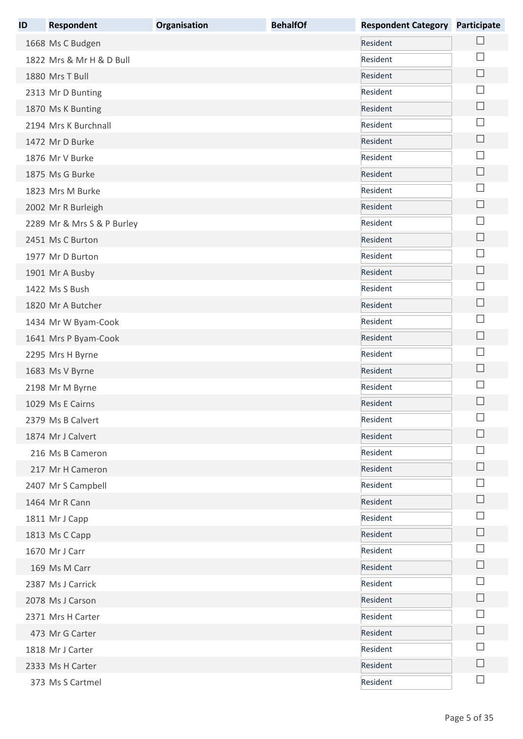| ID | <b>Respondent</b>          | Organisation | <b>BehalfOf</b> | <b>Respondent Category</b> | <b>Participate</b>          |
|----|----------------------------|--------------|-----------------|----------------------------|-----------------------------|
|    | 1668 Ms C Budgen           |              |                 | Resident                   |                             |
|    | 1822 Mrs & Mr H & D Bull   |              |                 | Resident                   |                             |
|    | 1880 Mrs T Bull            |              |                 | Resident                   | $\overline{\phantom{a}}$    |
|    | 2313 Mr D Bunting          |              |                 | Resident                   |                             |
|    | 1870 Ms K Bunting          |              |                 | Resident                   | $\mathbf{L}$                |
|    | 2194 Mrs K Burchnall       |              |                 | Resident                   |                             |
|    | 1472 Mr D Burke            |              |                 | Resident                   | $\mathcal{L}_{\mathcal{A}}$ |
|    | 1876 Mr V Burke            |              |                 | Resident                   |                             |
|    | 1875 Ms G Burke            |              |                 | Resident                   |                             |
|    | 1823 Mrs M Burke           |              |                 | Resident                   |                             |
|    | 2002 Mr R Burleigh         |              |                 | Resident                   | $\Box$                      |
|    | 2289 Mr & Mrs S & P Burley |              |                 | Resident                   |                             |
|    | 2451 Ms C Burton           |              |                 | Resident                   |                             |
|    | 1977 Mr D Burton           |              |                 | Resident                   | $\mathbb{R}^n$              |
|    | 1901 Mr A Busby            |              |                 | Resident                   | H                           |
|    | 1422 Ms S Bush             |              |                 | Resident                   |                             |
|    | 1820 Mr A Butcher          |              |                 | Resident                   |                             |
|    | 1434 Mr W Byam-Cook        |              |                 | Resident                   |                             |
|    | 1641 Mrs P Byam-Cook       |              |                 | Resident                   | $\Box$                      |
|    | 2295 Mrs H Byrne           |              |                 | Resident                   |                             |
|    | 1683 Ms V Byrne            |              |                 | Resident                   | $\overline{\phantom{a}}$    |
|    | 2198 Mr M Byrne            |              |                 | Resident                   |                             |
|    | 1029 Ms E Cairns           |              |                 | Resident                   |                             |
|    | 2379 Ms B Calvert          |              |                 | Resident                   |                             |
|    | 1874 Mr J Calvert          |              |                 | Resident                   |                             |
|    | 216 Ms B Cameron           |              |                 | Resident                   |                             |
|    | 217 Mr H Cameron           |              |                 | Resident                   |                             |
|    | 2407 Mr S Campbell         |              |                 | Resident                   |                             |
|    | 1464 Mr R Cann             |              |                 | Resident                   |                             |
|    | 1811 Mr J Capp             |              |                 | Resident                   |                             |
|    | 1813 Ms C Capp             |              |                 | Resident                   |                             |
|    | 1670 Mr J Carr             |              |                 | Resident                   |                             |
|    | 169 Ms M Carr              |              |                 | Resident                   |                             |
|    | 2387 Ms J Carrick          |              |                 | Resident                   |                             |
|    | 2078 Ms J Carson           |              |                 | Resident                   |                             |
|    | 2371 Mrs H Carter          |              |                 | Resident                   |                             |
|    | 473 Mr G Carter            |              |                 | Resident                   |                             |
|    | 1818 Mr J Carter           |              |                 | Resident                   |                             |
|    | 2333 Ms H Carter           |              |                 | Resident                   |                             |
|    | 373 Ms S Cartmel           |              |                 | Resident                   | $\Box$                      |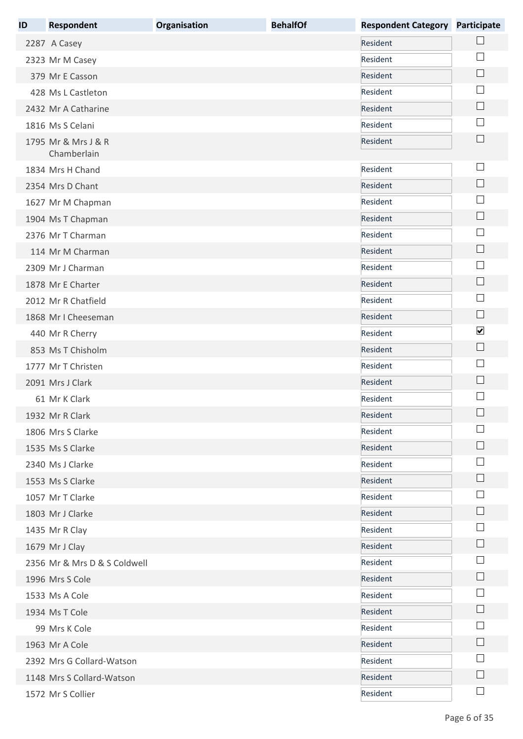| ID | <b>Respondent</b>                  | Organisation | <b>BehalfOf</b> | <b>Respondent Category Participate</b> |                             |
|----|------------------------------------|--------------|-----------------|----------------------------------------|-----------------------------|
|    | 2287 A Casey                       |              |                 | Resident                               |                             |
|    | 2323 Mr M Casey                    |              |                 | Resident                               |                             |
|    | 379 Mr E Casson                    |              |                 | Resident                               | $\Box$                      |
|    | 428 Ms L Castleton                 |              |                 | Resident                               |                             |
|    | 2432 Mr A Catharine                |              |                 | Resident                               | $\Box$                      |
|    | 1816 Ms S Celani                   |              |                 | Resident                               |                             |
|    | 1795 Mr & Mrs J & R<br>Chamberlain |              |                 | Resident                               | $\Box$                      |
|    | 1834 Mrs H Chand                   |              |                 | Resident                               | $\mathbb{R}$                |
|    | 2354 Mrs D Chant                   |              |                 | Resident                               | $\Box$                      |
|    | 1627 Mr M Chapman                  |              |                 | Resident                               |                             |
|    | 1904 Ms T Chapman                  |              |                 | Resident                               | $\mathcal{L}_{\mathcal{A}}$ |
|    | 2376 Mr T Charman                  |              |                 | Resident                               | $\sim$                      |
|    | 114 Mr M Charman                   |              |                 | Resident                               | $\Box$                      |
|    | 2309 Mr J Charman                  |              |                 | Resident                               |                             |
|    | 1878 Mr E Charter                  |              |                 | Resident                               | $\Box$                      |
|    | 2012 Mr R Chatfield                |              |                 | Resident                               |                             |
|    | 1868 Mr I Cheeseman                |              |                 | Resident                               | $\Box$                      |
|    | 440 Mr R Cherry                    |              |                 | Resident                               | $\blacktriangledown$        |
|    | 853 Ms T Chisholm                  |              |                 | Resident                               | $\Box$                      |
|    | 1777 Mr T Christen                 |              |                 | Resident                               | $\mathbb{R}^n$              |
|    | 2091 Mrs J Clark                   |              |                 | Resident                               | $\mathsf{L}$                |
|    | 61 Mr K Clark                      |              |                 | Resident                               |                             |
|    | 1932 Mr R Clark                    |              |                 | Resident                               | $\Box$                      |
|    | 1806 Mrs S Clarke                  |              |                 | Resident                               | ×                           |
|    | 1535 Ms S Clarke                   |              |                 | Resident                               |                             |
|    | 2340 Ms J Clarke                   |              |                 | Resident                               |                             |
|    | 1553 Ms S Clarke                   |              |                 | Resident                               |                             |
|    | 1057 Mr T Clarke                   |              |                 | Resident                               |                             |
|    | 1803 Mr J Clarke                   |              |                 | Resident                               | $\mathbb{R}^n$              |
|    | 1435 Mr R Clay                     |              |                 | Resident                               |                             |
|    | 1679 Mr J Clay                     |              |                 | Resident                               | $\vert \ \ \vert$           |
|    | 2356 Mr & Mrs D & S Coldwell       |              |                 | Resident                               |                             |
|    | 1996 Mrs S Cole                    |              |                 | Resident                               | $\mathbb{R}^n$              |
|    | 1533 Ms A Cole                     |              |                 | Resident                               |                             |
|    | 1934 Ms T Cole                     |              |                 | Resident                               |                             |
|    | 99 Mrs K Cole                      |              |                 | Resident                               |                             |
|    | 1963 Mr A Cole                     |              |                 | Resident                               |                             |
|    | 2392 Mrs G Collard-Watson          |              |                 | Resident                               |                             |
|    | 1148 Mrs S Collard-Watson          |              |                 | Resident                               | $\mathbf{L}$                |
|    | 1572 Mr S Collier                  |              |                 | Resident                               | $\mathcal{L}^{\mathcal{L}}$ |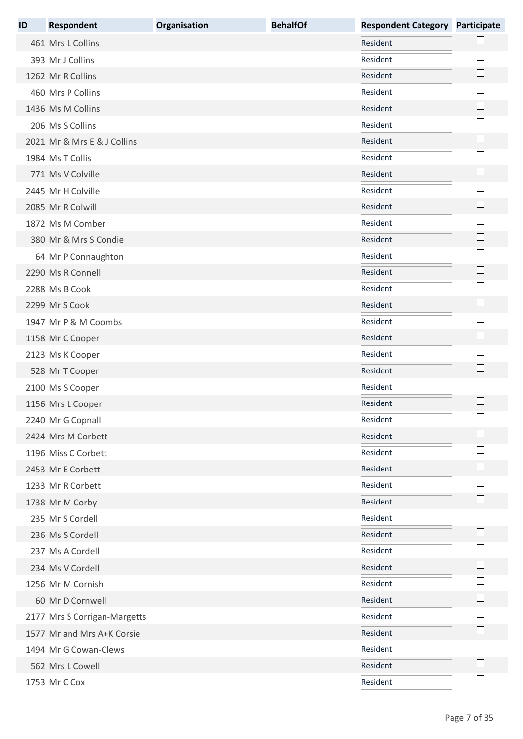| ID | <b>Respondent</b>            | Organisation | <b>BehalfOf</b> | <b>Respondent Category Participate</b> |                             |
|----|------------------------------|--------------|-----------------|----------------------------------------|-----------------------------|
|    | 461 Mrs L Collins            |              |                 | Resident                               |                             |
|    | 393 Mr J Collins             |              |                 | Resident                               |                             |
|    | 1262 Mr R Collins            |              |                 | Resident                               | $\Box$                      |
|    | 460 Mrs P Collins            |              |                 | Resident                               |                             |
|    | 1436 Ms M Collins            |              |                 | Resident                               |                             |
|    | 206 Ms S Collins             |              |                 | Resident                               |                             |
|    | 2021 Mr & Mrs E & J Collins  |              |                 | Resident                               |                             |
|    | 1984 Ms T Collis             |              |                 | Resident                               |                             |
|    | 771 Ms V Colville            |              |                 | Resident                               |                             |
|    | 2445 Mr H Colville           |              |                 | Resident                               |                             |
|    | 2085 Mr R Colwill            |              |                 | Resident                               | $\Box$                      |
|    | 1872 Ms M Comber             |              |                 | Resident                               |                             |
|    | 380 Mr & Mrs S Condie        |              |                 | Resident                               |                             |
|    | 64 Mr P Connaughton          |              |                 | Resident                               |                             |
|    | 2290 Ms R Connell            |              |                 | Resident                               | L.                          |
|    | 2288 Ms B Cook               |              |                 | Resident                               |                             |
|    | 2299 Mr S Cook               |              |                 | Resident                               |                             |
|    | 1947 Mr P & M Coombs         |              |                 | Resident                               |                             |
|    | 1158 Mr C Cooper             |              |                 | Resident                               | $\mathcal{L}_{\mathcal{A}}$ |
|    | 2123 Ms K Cooper             |              |                 | Resident                               |                             |
|    | 528 Mr T Cooper              |              |                 | Resident                               | $\Box$                      |
|    | 2100 Ms S Cooper             |              |                 | Resident                               |                             |
|    | 1156 Mrs L Cooper            |              |                 | Resident                               |                             |
|    | 2240 Mr G Copnall            |              |                 | Resident                               |                             |
|    | 2424 Mrs M Corbett           |              |                 | Resident                               |                             |
|    | 1196 Miss C Corbett          |              |                 | Resident                               |                             |
|    | 2453 Mr E Corbett            |              |                 | Resident                               |                             |
|    | 1233 Mr R Corbett            |              |                 | Resident                               |                             |
|    | 1738 Mr M Corby              |              |                 | Resident                               |                             |
|    | 235 Mr S Cordell             |              |                 | Resident                               |                             |
|    | 236 Ms S Cordell             |              |                 | Resident                               |                             |
|    | 237 Ms A Cordell             |              |                 | Resident                               |                             |
|    | 234 Ms V Cordell             |              |                 | Resident                               |                             |
|    | 1256 Mr M Cornish            |              |                 | Resident                               |                             |
|    | 60 Mr D Cornwell             |              |                 | Resident                               |                             |
|    | 2177 Mrs S Corrigan-Margetts |              |                 | Resident                               |                             |
|    | 1577 Mr and Mrs A+K Corsie   |              |                 | Resident                               |                             |
|    | 1494 Mr G Cowan-Clews        |              |                 | Resident                               |                             |
|    | 562 Mrs L Cowell             |              |                 | Resident                               |                             |
|    | 1753 Mr C Cox                |              |                 | Resident                               | $\Box$                      |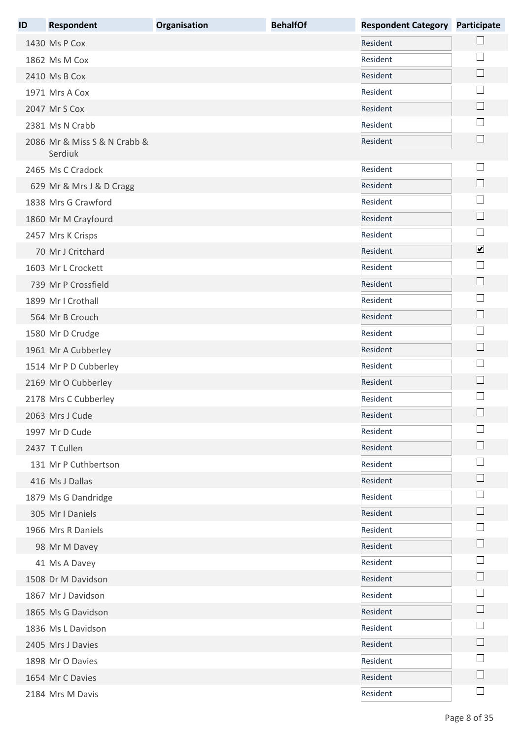| ID | <b>Respondent</b>                       | Organisation | <b>BehalfOf</b> | <b>Respondent Category</b> | <b>Participate</b>          |
|----|-----------------------------------------|--------------|-----------------|----------------------------|-----------------------------|
|    | 1430 Ms P Cox                           |              |                 | Resident                   |                             |
|    | 1862 Ms M Cox                           |              |                 | Resident                   |                             |
|    | 2410 Ms B Cox                           |              |                 | Resident                   | $\Box$                      |
|    | 1971 Mrs A Cox                          |              |                 | Resident                   |                             |
|    | 2047 Mr S Cox                           |              |                 | Resident                   | $\Box$                      |
|    | 2381 Ms N Crabb                         |              |                 | Resident                   | $\vert \ \ \vert$           |
|    | 2086 Mr & Miss S & N Crabb &<br>Serdiuk |              |                 | Resident                   | $\mathcal{L}_{\mathcal{A}}$ |
|    | 2465 Ms C Cradock                       |              |                 | Resident                   | $\mathbb{R}$                |
|    | 629 Mr & Mrs J & D Cragg                |              |                 | Resident                   |                             |
|    | 1838 Mrs G Crawford                     |              |                 | Resident                   |                             |
|    | 1860 Mr M Crayfourd                     |              |                 | Resident                   | $\mathcal{L}_{\mathcal{A}}$ |
|    | 2457 Mrs K Crisps                       |              |                 | Resident                   | $\mathbb{R}^n$              |
|    | 70 Mr J Critchard                       |              |                 | Resident                   | $\blacktriangledown$        |
|    | 1603 Mr L Crockett                      |              |                 | Resident                   | $\vert$                     |
|    | 739 Mr P Crossfield                     |              |                 | Resident                   | $\Box$                      |
|    | 1899 Mr I Crothall                      |              |                 | Resident                   |                             |
|    | 564 Mr B Crouch                         |              |                 | Resident                   | $\overline{\phantom{a}}$    |
|    | 1580 Mr D Crudge                        |              |                 | Resident                   |                             |
|    | 1961 Mr A Cubberley                     |              |                 | Resident                   | $\Box$                      |
|    | 1514 Mr P D Cubberley                   |              |                 | Resident                   | $\mathbb{R}^n$              |
|    | 2169 Mr O Cubberley                     |              |                 | Resident                   | $\mathsf{L}$                |
|    | 2178 Mrs C Cubberley                    |              |                 | Resident                   |                             |
|    | 2063 Mrs J Cude                         |              |                 | Resident                   | $\Box$                      |
|    | 1997 Mr D Cude                          |              |                 | Resident                   |                             |
|    | 2437 T Cullen                           |              |                 | Resident                   |                             |
|    | 131 Mr P Cuthbertson                    |              |                 | Resident                   |                             |
|    | 416 Ms J Dallas                         |              |                 | Resident                   |                             |
|    | 1879 Ms G Dandridge                     |              |                 | Resident                   |                             |
|    | 305 Mr I Daniels                        |              |                 | Resident                   |                             |
|    | 1966 Mrs R Daniels                      |              |                 | Resident                   |                             |
|    | 98 Mr M Davey                           |              |                 | Resident                   | $\vert \ \ \vert$           |
|    | 41 Ms A Davey                           |              |                 | Resident                   |                             |
|    | 1508 Dr M Davidson                      |              |                 | Resident                   | $\mathbb{R}^n$              |
|    | 1867 Mr J Davidson                      |              |                 | Resident                   |                             |
|    | 1865 Ms G Davidson                      |              |                 | Resident                   |                             |
|    | 1836 Ms L Davidson                      |              |                 | Resident                   |                             |
|    | 2405 Mrs J Davies                       |              |                 | Resident                   |                             |
|    | 1898 Mr O Davies                        |              |                 | Resident                   |                             |
|    | 1654 Mr C Davies                        |              |                 | Resident                   | $\mathbb{R}^n$              |
|    | 2184 Mrs M Davis                        |              |                 | Resident                   | $\Box$                      |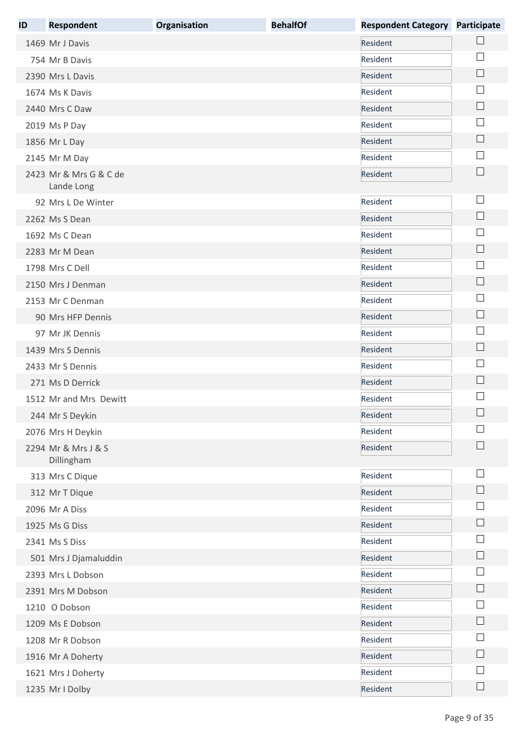| ID | <b>Respondent</b>                    | Organisation | <b>BehalfOf</b> | <b>Respondent Category</b> | <b>Participate</b>          |
|----|--------------------------------------|--------------|-----------------|----------------------------|-----------------------------|
|    | 1469 Mr J Davis                      |              |                 | Resident                   |                             |
|    | 754 Mr B Davis                       |              |                 | Resident                   |                             |
|    | 2390 Mrs L Davis                     |              |                 | Resident                   | $\Box$                      |
|    | 1674 Ms K Davis                      |              |                 | Resident                   |                             |
|    | 2440 Mrs C Daw                       |              |                 | Resident                   | $\Box$                      |
|    | 2019 Ms P Day                        |              |                 | Resident                   | $\sim$                      |
|    | 1856 Mr L Day                        |              |                 | Resident                   | $\Box$                      |
|    | 2145 Mr M Day                        |              |                 | Resident                   | $\mathbb{R}^n$              |
|    | 2423 Mr & Mrs G & C de<br>Lande Long |              |                 | Resident                   |                             |
|    | 92 Mrs L De Winter                   |              |                 | Resident                   | $\mathcal{L}_{\mathcal{A}}$ |
|    | 2262 Ms S Dean                       |              |                 | Resident                   | $\overline{\phantom{a}}$    |
|    | 1692 Ms C Dean                       |              |                 | Resident                   | $\sim$                      |
|    | 2283 Mr M Dean                       |              |                 | Resident                   | $\mathsf{L}$                |
|    | 1798 Mrs C Dell                      |              |                 | Resident                   |                             |
|    | 2150 Mrs J Denman                    |              |                 | Resident                   | $\mathcal{L}_{\mathcal{A}}$ |
|    | 2153 Mr C Denman                     |              |                 | Resident                   |                             |
|    | 90 Mrs HFP Dennis                    |              |                 | Resident                   | $\overline{\phantom{a}}$    |
|    | 97 Mr JK Dennis                      |              |                 | Resident                   |                             |
|    | 1439 Mrs S Dennis                    |              |                 | Resident                   | $\Box$                      |
|    | 2433 Mr S Dennis                     |              |                 | Resident                   | $\mathbb{R}^n$              |
|    | 271 Ms D Derrick                     |              |                 | Resident                   | $\mathsf{L}$                |
|    | 1512 Mr and Mrs Dewitt               |              |                 | Resident                   |                             |
|    | 244 Mr S Deykin                      |              |                 | Resident                   | $\Box$                      |
|    | 2076 Mrs H Deykin                    |              |                 | Resident                   |                             |
|    | 2294 Mr & Mrs J & S<br>Dillingham    |              |                 | Resident                   |                             |
|    | 313 Mrs C Dique                      |              |                 | Resident                   | ×                           |
|    | 312 Mr T Dique                       |              |                 | Resident                   | $\Box$                      |
|    | 2096 Mr A Diss                       |              |                 | Resident                   |                             |
|    | 1925 Ms G Diss                       |              |                 | Resident                   | $\mathbf{L}$                |
|    | 2341 Ms S Diss                       |              |                 | Resident                   |                             |
|    | 501 Mrs J Djamaluddin                |              |                 | Resident                   | $\mathbf{L}$                |
|    | 2393 Mrs L Dobson                    |              |                 | Resident                   |                             |
|    | 2391 Mrs M Dobson                    |              |                 | Resident                   |                             |
|    | 1210 O Dobson                        |              |                 | Resident                   |                             |
|    | 1209 Ms E Dobson                     |              |                 | Resident                   | $\sim$                      |
|    | 1208 Mr R Dobson                     |              |                 | Resident                   |                             |
|    | 1916 Mr A Doherty                    |              |                 | Resident                   | $\mathsf{L}$                |
|    | 1621 Mrs J Doherty                   |              |                 | Resident                   |                             |
|    | 1235 Mr I Dolby                      |              |                 | Resident                   | $\Box$                      |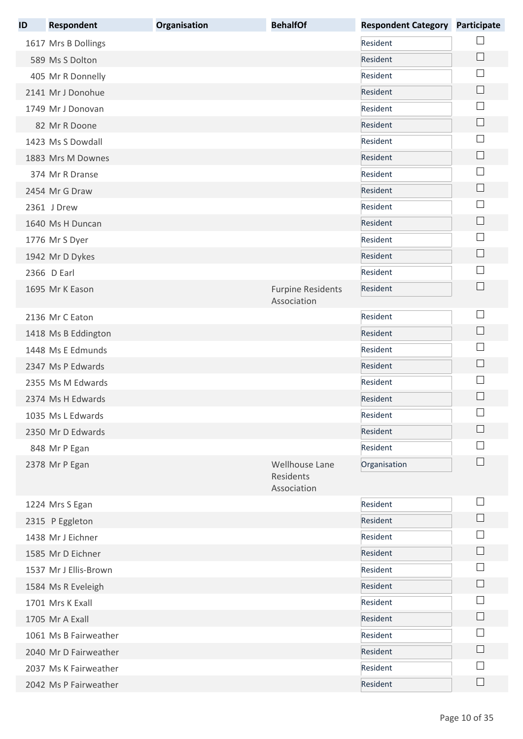| ID | <b>Respondent</b>     | Organisation | <b>BehalfOf</b>                            | <b>Respondent Category</b> | <b>Participate</b> |
|----|-----------------------|--------------|--------------------------------------------|----------------------------|--------------------|
|    | 1617 Mrs B Dollings   |              |                                            | Resident                   |                    |
|    | 589 Ms S Dolton       |              |                                            | Resident                   |                    |
|    | 405 Mr R Donnelly     |              |                                            | Resident                   |                    |
|    | 2141 Mr J Donohue     |              |                                            | Resident                   |                    |
|    | 1749 Mr J Donovan     |              |                                            | Resident                   |                    |
|    | 82 Mr R Doone         |              |                                            | Resident                   |                    |
|    | 1423 Ms S Dowdall     |              |                                            | Resident                   |                    |
|    | 1883 Mrs M Downes     |              |                                            | Resident                   |                    |
|    | 374 Mr R Dranse       |              |                                            | Resident                   |                    |
|    | 2454 Mr G Draw        |              |                                            | Resident                   |                    |
|    | 2361 J Drew           |              |                                            | Resident                   |                    |
|    | 1640 Ms H Duncan      |              |                                            | Resident                   |                    |
|    | 1776 Mr S Dyer        |              |                                            | Resident                   |                    |
|    | 1942 Mr D Dykes       |              |                                            | Resident                   |                    |
|    | 2366 D Earl           |              |                                            | Resident                   |                    |
|    | 1695 Mr K Eason       |              | <b>Furpine Residents</b>                   | Resident                   |                    |
|    |                       |              | Association                                |                            |                    |
|    | 2136 Mr C Eaton       |              |                                            | Resident                   |                    |
|    | 1418 Ms B Eddington   |              |                                            | Resident                   |                    |
|    | 1448 Ms E Edmunds     |              |                                            | Resident                   |                    |
|    | 2347 Ms P Edwards     |              |                                            | Resident                   |                    |
|    | 2355 Ms M Edwards     |              |                                            | Resident                   |                    |
|    | 2374 Ms H Edwards     |              |                                            | Resident                   |                    |
|    | 1035 Ms L Edwards     |              |                                            | Resident                   | ــــا              |
|    | 2350 Mr D Edwards     |              |                                            | Resident                   |                    |
|    | 848 Mr P Egan         |              |                                            | Resident                   |                    |
|    | 2378 Mr P Egan        |              | Wellhouse Lane<br>Residents<br>Association | Organisation               |                    |
|    | 1224 Mrs S Egan       |              |                                            | Resident                   |                    |
|    | 2315 P Eggleton       |              |                                            | Resident                   |                    |
|    | 1438 Mr J Eichner     |              |                                            | Resident                   |                    |
|    | 1585 Mr D Eichner     |              |                                            | Resident                   |                    |
|    | 1537 Mr J Ellis-Brown |              |                                            | Resident                   |                    |
|    | 1584 Ms R Eveleigh    |              |                                            | Resident                   |                    |
|    | 1701 Mrs K Exall      |              |                                            | Resident                   |                    |
|    | 1705 Mr A Exall       |              |                                            | Resident                   |                    |
|    | 1061 Ms B Fairweather |              |                                            | Resident                   |                    |
|    | 2040 Mr D Fairweather |              |                                            | Resident                   |                    |
|    | 2037 Ms K Fairweather |              |                                            | Resident                   |                    |
|    | 2042 Ms P Fairweather |              |                                            | Resident                   |                    |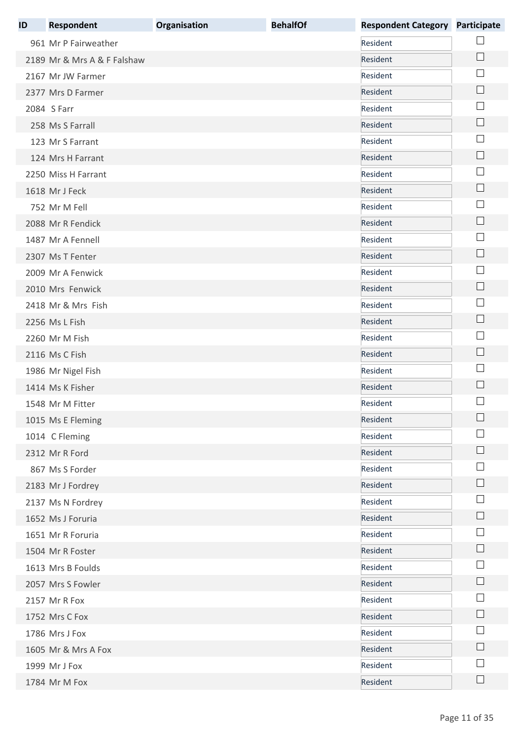| ID | <b>Respondent</b>           | Organisation | <b>BehalfOf</b> | <b>Respondent Category</b> | <b>Participate</b> |
|----|-----------------------------|--------------|-----------------|----------------------------|--------------------|
|    | 961 Mr P Fairweather        |              |                 | Resident                   |                    |
|    | 2189 Mr & Mrs A & F Falshaw |              |                 | Resident                   | $\Box$             |
|    | 2167 Mr JW Farmer           |              |                 | Resident                   | $\sim$             |
|    | 2377 Mrs D Farmer           |              |                 | Resident                   | $\vert \ \ \vert$  |
|    | 2084 S Farr                 |              |                 | Resident                   | ×                  |
|    | 258 Ms S Farrall            |              |                 | Resident                   | $\Box$             |
|    | 123 Mr S Farrant            |              |                 | Resident                   | $\mathbb{R}^n$     |
|    | 124 Mrs H Farrant           |              |                 | Resident                   | $\Box$             |
|    | 2250 Miss H Farrant         |              |                 | Resident                   |                    |
|    | 1618 Mr J Feck              |              |                 | Resident                   | $\Box$             |
|    | 752 Mr M Fell               |              |                 | Resident                   |                    |
|    | 2088 Mr R Fendick           |              |                 | Resident                   | $\Box$             |
|    | 1487 Mr A Fennell           |              |                 | Resident                   | $\mathbb{R}^n$     |
|    | 2307 Ms T Fenter            |              |                 | Resident                   | $\Box$             |
|    | 2009 Mr A Fenwick           |              |                 | Resident                   | a.                 |
|    | 2010 Mrs Fenwick            |              |                 | Resident                   | $\Box$             |
|    | 2418 Mr & Mrs Fish          |              |                 | Resident                   | $\Box$             |
|    | 2256 Ms L Fish              |              |                 | Resident                   | $\Box$             |
|    | 2260 Mr M Fish              |              |                 | Resident                   |                    |
|    | 2116 Ms C Fish              |              |                 | Resident                   | $\Box$             |
|    | 1986 Mr Nigel Fish          |              |                 | Resident                   |                    |
|    | 1414 Ms K Fisher            |              |                 | Resident                   | $\mathbf{L}$       |
|    | 1548 Mr M Fitter            |              |                 | Resident                   |                    |
|    | 1015 Ms E Fleming           |              |                 | Resident                   |                    |
|    | 1014 C Fleming              |              |                 | Resident                   |                    |
|    | 2312 Mr R Ford              |              |                 | Resident                   |                    |
|    | 867 Ms S Forder             |              |                 | Resident                   |                    |
|    | 2183 Mr J Fordrey           |              |                 | Resident                   |                    |
|    | 2137 Ms N Fordrey           |              |                 | Resident                   |                    |
|    | 1652 Ms J Foruria           |              |                 | Resident                   |                    |
|    | 1651 Mr R Foruria           |              |                 | Resident                   | $\mathbf{I}$       |
|    | 1504 Mr R Foster            |              |                 | Resident                   | $\mathbf{I}$       |
|    | 1613 Mrs B Foulds           |              |                 | Resident                   | ×                  |
|    | 2057 Mrs S Fowler           |              |                 | Resident                   | $\Box$             |
|    | 2157 Mr R Fox               |              |                 | Resident                   |                    |
|    | 1752 Mrs C Fox              |              |                 | Resident                   | $\Box$             |
|    | 1786 Mrs J Fox              |              |                 | Resident                   |                    |
|    | 1605 Mr & Mrs A Fox         |              |                 | Resident                   |                    |
|    | 1999 Mr J Fox               |              |                 | Resident                   |                    |
|    | 1784 Mr M Fox               |              |                 | Resident                   | $\Box$             |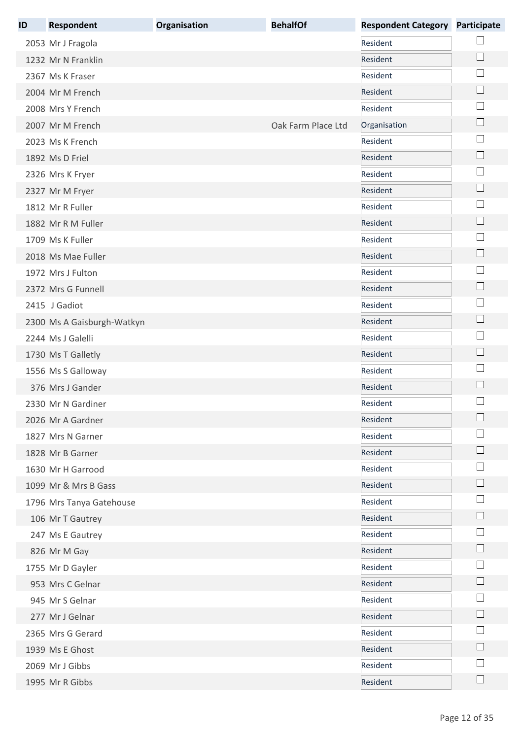| ID | <b>Respondent</b>          | Organisation | <b>BehalfOf</b>    | <b>Respondent Category</b> | <b>Participate</b> |
|----|----------------------------|--------------|--------------------|----------------------------|--------------------|
|    | 2053 Mr J Fragola          |              |                    | Resident                   |                    |
|    | 1232 Mr N Franklin         |              |                    | Resident                   | $\Box$             |
|    | 2367 Ms K Fraser           |              |                    | Resident                   |                    |
|    | 2004 Mr M French           |              |                    | Resident                   |                    |
|    | 2008 Mrs Y French          |              |                    | Resident                   |                    |
|    | 2007 Mr M French           |              | Oak Farm Place Ltd | Organisation               |                    |
|    | 2023 Ms K French           |              |                    | Resident                   |                    |
|    | 1892 Ms D Friel            |              |                    | Resident                   |                    |
|    | 2326 Mrs K Fryer           |              |                    | Resident                   |                    |
|    | 2327 Mr M Fryer            |              |                    | Resident                   | $\vert \ \ \vert$  |
|    | 1812 Mr R Fuller           |              |                    | Resident                   |                    |
|    | 1882 Mr R M Fuller         |              |                    | Resident                   |                    |
|    | 1709 Ms K Fuller           |              |                    | Resident                   |                    |
|    | 2018 Ms Mae Fuller         |              |                    | Resident                   |                    |
|    | 1972 Mrs J Fulton          |              |                    | Resident                   |                    |
|    | 2372 Mrs G Funnell         |              |                    | Resident                   |                    |
|    | 2415 J Gadiot              |              |                    | Resident                   |                    |
|    | 2300 Ms A Gaisburgh-Watkyn |              |                    | Resident                   | $\Box$             |
|    | 2244 Ms J Galelli          |              |                    | Resident                   |                    |
|    | 1730 Ms T Galletly         |              |                    | Resident                   |                    |
|    | 1556 Ms S Galloway         |              |                    | Resident                   |                    |
|    | 376 Mrs J Gander           |              |                    | Resident                   |                    |
|    | 2330 Mr N Gardiner         |              |                    | Resident                   |                    |
|    | 2026 Mr A Gardner          |              |                    | Resident                   |                    |
|    | 1827 Mrs N Garner          |              |                    | Resident                   |                    |
|    | 1828 Mr B Garner           |              |                    | Resident                   |                    |
|    | 1630 Mr H Garrood          |              |                    | Resident                   |                    |
|    | 1099 Mr & Mrs B Gass       |              |                    | Resident                   |                    |
|    | 1796 Mrs Tanya Gatehouse   |              |                    | Resident                   |                    |
|    | 106 Mr T Gautrey           |              |                    | Resident                   |                    |
|    | 247 Ms E Gautrey           |              |                    | Resident                   |                    |
|    | 826 Mr M Gay               |              |                    | Resident                   |                    |
|    | 1755 Mr D Gayler           |              |                    | Resident                   |                    |
|    | 953 Mrs C Gelnar           |              |                    | Resident                   |                    |
|    | 945 Mr S Gelnar            |              |                    | Resident                   |                    |
|    | 277 Mr J Gelnar            |              |                    | Resident                   |                    |
|    | 2365 Mrs G Gerard          |              |                    | Resident                   |                    |
|    | 1939 Ms E Ghost            |              |                    | Resident                   |                    |
|    | 2069 Mr J Gibbs            |              |                    | Resident                   |                    |
|    | 1995 Mr R Gibbs            |              |                    | Resident                   |                    |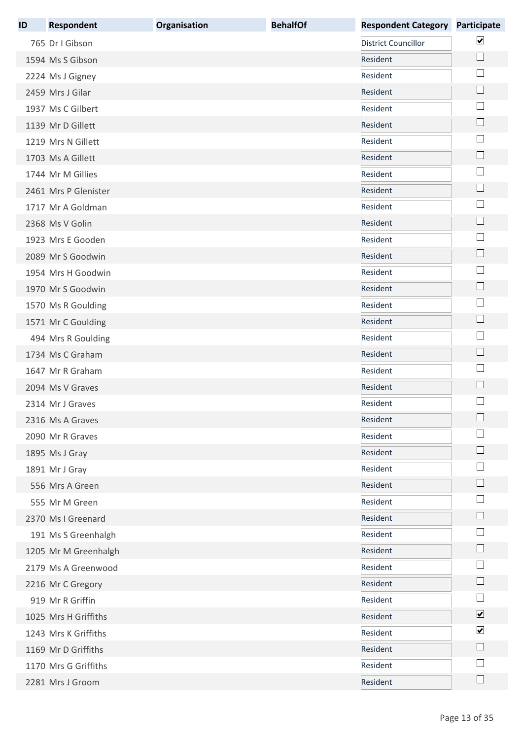| ID | <b>Respondent</b>    | Organisation | <b>BehalfOf</b> | <b>Respondent Category</b> | <b>Participate</b>          |
|----|----------------------|--------------|-----------------|----------------------------|-----------------------------|
|    | 765 Dr I Gibson      |              |                 | <b>District Councillor</b> | $\blacktriangledown$        |
|    | 1594 Ms S Gibson     |              |                 | Resident                   | $\Box$                      |
|    | 2224 Ms J Gigney     |              |                 | Resident                   | $\overline{\phantom{a}}$    |
|    | 2459 Mrs J Gilar     |              |                 | Resident                   | $\mathcal{L}_{\mathcal{A}}$ |
|    | 1937 Ms C Gilbert    |              |                 | Resident                   | $\sim$                      |
|    | 1139 Mr D Gillett    |              |                 | Resident                   | $\Box$                      |
|    | 1219 Mrs N Gillett   |              |                 | Resident                   | $\mathbb{R}^n$              |
|    | 1703 Ms A Gillett    |              |                 | Resident                   | $\Box$                      |
|    | 1744 Mr M Gillies    |              |                 | Resident                   |                             |
|    | 2461 Mrs P Glenister |              |                 | Resident                   | $\Box$                      |
|    | 1717 Mr A Goldman    |              |                 | Resident                   |                             |
|    | 2368 Ms V Golin      |              |                 | Resident                   | $\Box$                      |
|    | 1923 Mrs E Gooden    |              |                 | Resident                   | $\mathbb{R}^n$              |
|    | 2089 Mr S Goodwin    |              |                 | Resident                   | $\Box$                      |
|    | 1954 Mrs H Goodwin   |              |                 | Resident                   | $\sim$                      |
|    | 1970 Mr S Goodwin    |              |                 | Resident                   | $\Box$                      |
|    | 1570 Ms R Goulding   |              |                 | Resident                   | $\Box$                      |
|    | 1571 Mr C Goulding   |              |                 | Resident                   |                             |
|    | 494 Mrs R Goulding   |              |                 | Resident                   | ×                           |
|    | 1734 Ms C Graham     |              |                 | Resident                   |                             |
|    | 1647 Mr R Graham     |              |                 | Resident                   | ×                           |
|    | 2094 Ms V Graves     |              |                 | Resident                   | $\mathbb{R}^n$              |
|    | 2314 Mr J Graves     |              |                 | Resident                   |                             |
|    | 2316 Ms A Graves     |              |                 | Resident                   |                             |
|    | 2090 Mr R Graves     |              |                 | Resident                   |                             |
|    | 1895 Ms J Gray       |              |                 | Resident                   | $\mathbf{L}$                |
|    | 1891 Mr J Gray       |              |                 | Resident                   |                             |
|    | 556 Mrs A Green      |              |                 | Resident                   |                             |
|    | 555 Mr M Green       |              |                 | Resident                   |                             |
|    | 2370 Ms I Greenard   |              |                 | Resident                   |                             |
|    | 191 Ms S Greenhalgh  |              |                 | Resident                   |                             |
|    | 1205 Mr M Greenhalgh |              |                 | Resident                   | $\vert \ \ \vert$           |
|    | 2179 Ms A Greenwood  |              |                 | Resident                   | ×                           |
|    | 2216 Mr C Gregory    |              |                 | Resident                   | $\mathbf{L}$                |
|    | 919 Mr R Griffin     |              |                 | Resident                   | $\mathbb{R}$                |
|    | 1025 Mrs H Griffiths |              |                 | Resident                   | $\blacktriangledown$        |
|    | 1243 Mrs K Griffiths |              |                 | Resident                   | $\blacktriangledown$        |
|    | 1169 Mr D Griffiths  |              |                 | Resident                   |                             |
|    | 1170 Mrs G Griffiths |              |                 | Resident                   |                             |
|    | 2281 Mrs J Groom     |              |                 | Resident                   |                             |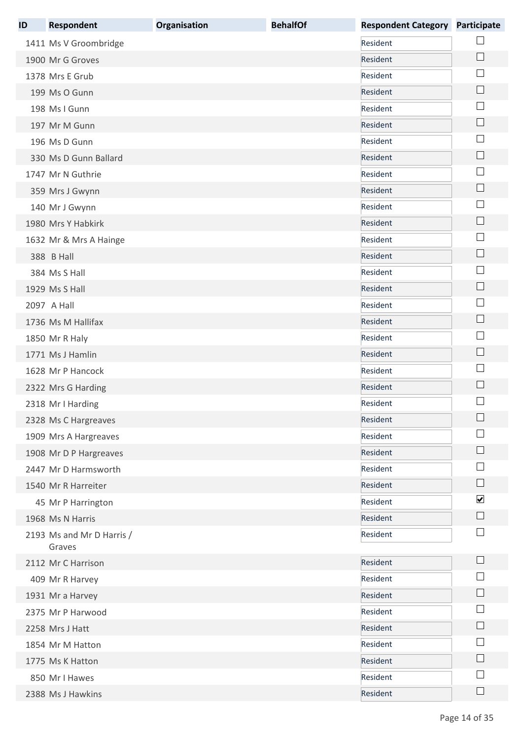| ID | <b>Respondent</b>         | Organisation | <b>BehalfOf</b> | <b>Respondent Category</b> | <b>Participate</b>   |
|----|---------------------------|--------------|-----------------|----------------------------|----------------------|
|    | 1411 Ms V Groombridge     |              |                 | Resident                   |                      |
|    | 1900 Mr G Groves          |              |                 | Resident                   | $\Box$               |
|    | 1378 Mrs E Grub           |              |                 | Resident                   |                      |
|    | 199 Ms O Gunn             |              |                 | Resident                   | $\mathbb{R}^n$       |
|    | 198 Ms I Gunn             |              |                 | Resident                   |                      |
|    | 197 Mr M Gunn             |              |                 | Resident                   | ∟                    |
|    | 196 Ms D Gunn             |              |                 | Resident                   |                      |
|    | 330 Ms D Gunn Ballard     |              |                 | Resident                   | └                    |
|    | 1747 Mr N Guthrie         |              |                 | Resident                   |                      |
|    | 359 Mrs J Gwynn           |              |                 | Resident                   | $\Box$               |
|    | 140 Mr J Gwynn            |              |                 | Resident                   |                      |
|    | 1980 Mrs Y Habkirk        |              |                 | Resident                   | ∟                    |
|    | 1632 Mr & Mrs A Hainge    |              |                 | Resident                   | L.                   |
|    | 388 B Hall                |              |                 | Resident                   | L.                   |
|    | 384 Ms S Hall             |              |                 | Resident                   |                      |
|    | 1929 Ms S Hall            |              |                 | Resident                   |                      |
|    | 2097 A Hall               |              |                 | Resident                   |                      |
|    | 1736 Ms M Hallifax        |              |                 | Resident                   | └                    |
|    | 1850 Mr R Haly            |              |                 | Resident                   |                      |
|    | 1771 Ms J Hamlin          |              |                 | Resident                   | $\Box$               |
|    | 1628 Mr P Hancock         |              |                 | Resident                   |                      |
|    | 2322 Mrs G Harding        |              |                 | Resident                   | $\mathbf{L}$         |
|    | 2318 Mr I Harding         |              |                 | Resident                   |                      |
|    | 2328 Ms C Hargreaves      |              |                 | Resident                   |                      |
|    | 1909 Mrs A Hargreaves     |              |                 | Resident                   |                      |
|    | 1908 Mr D P Hargreaves    |              |                 | Resident                   |                      |
|    | 2447 Mr D Harmsworth      |              |                 | Resident                   |                      |
|    | 1540 Mr R Harreiter       |              |                 | Resident                   | ∟                    |
|    | 45 Mr P Harrington        |              |                 | Resident                   | $\blacktriangledown$ |
|    | 1968 Ms N Harris          |              |                 | Resident                   | $\Box$               |
|    | 2193 Ms and Mr D Harris / |              |                 | Resident                   | $\mathsf{L}$         |
|    | Graves                    |              |                 |                            |                      |
|    | 2112 Mr C Harrison        |              |                 | Resident                   |                      |
|    | 409 Mr R Harvey           |              |                 | Resident                   |                      |
|    | 1931 Mr a Harvey          |              |                 | Resident                   |                      |
|    | 2375 Mr P Harwood         |              |                 | Resident                   |                      |
|    | 2258 Mrs J Hatt           |              |                 | Resident                   |                      |
|    | 1854 Mr M Hatton          |              |                 | Resident                   |                      |
|    | 1775 Ms K Hatton          |              |                 | Resident                   | $\vert$              |
|    | 850 Mr I Hawes            |              |                 | Resident                   |                      |
|    | 2388 Ms J Hawkins         |              |                 | Resident                   |                      |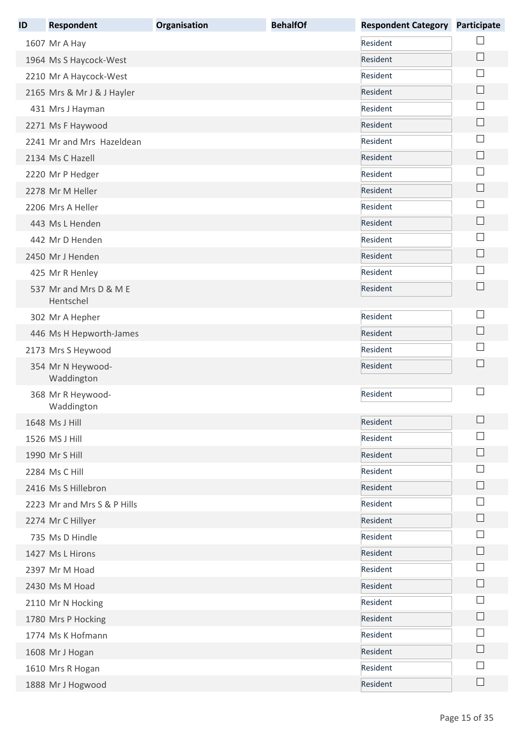| ID | <b>Respondent</b>                   | Organisation | <b>BehalfOf</b> | <b>Respondent Category</b> | Participate                 |
|----|-------------------------------------|--------------|-----------------|----------------------------|-----------------------------|
|    | 1607 Mr A Hay                       |              |                 | Resident                   |                             |
|    | 1964 Ms S Haycock-West              |              |                 | Resident                   | $\Box$                      |
|    | 2210 Mr A Haycock-West              |              |                 | Resident                   |                             |
|    | 2165 Mrs & Mr J & J Hayler          |              |                 | Resident                   |                             |
|    | 431 Mrs J Hayman                    |              |                 | Resident                   | $\sim$                      |
|    | 2271 Ms F Haywood                   |              |                 | Resident                   | L                           |
|    | 2241 Mr and Mrs Hazeldean           |              |                 | Resident                   | П                           |
|    | 2134 Ms C Hazell                    |              |                 | Resident                   | $\mathbf{L}$                |
|    | 2220 Mr P Hedger                    |              |                 | Resident                   | $\mathbb{R}^n$              |
|    | 2278 Mr M Heller                    |              |                 | Resident                   | $\Box$                      |
|    | 2206 Mrs A Heller                   |              |                 | Resident                   | $\sim$                      |
|    | 443 Ms L Henden                     |              |                 | Resident                   | $\Box$                      |
|    | 442 Mr D Henden                     |              |                 | Resident                   |                             |
|    | 2450 Mr J Henden                    |              |                 | Resident                   | $\mathbf{I}$                |
|    | 425 Mr R Henley                     |              |                 | Resident                   |                             |
|    | 537 Mr and Mrs D & M E<br>Hentschel |              |                 | Resident                   | $\Box$                      |
|    | 302 Mr A Hepher                     |              |                 | Resident                   | ×                           |
|    | 446 Ms H Hepworth-James             |              |                 | Resident                   | $\Box$                      |
|    | 2173 Mrs S Heywood                  |              |                 | Resident                   |                             |
|    | 354 Mr N Heywood-<br>Waddington     |              |                 | Resident                   |                             |
|    | 368 Mr R Heywood-<br>Waddington     |              |                 | Resident                   | $\mathbf{I}$                |
|    | 1648 Ms J Hill                      |              |                 | Resident                   | $\mathbf{L}$                |
|    | 1526 MS J Hill                      |              |                 | Resident                   |                             |
|    | 1990 Mr S Hill                      |              |                 | Resident                   | $\Box$                      |
|    | 2284 Ms C Hill                      |              |                 | Resident                   |                             |
|    | 2416 Ms S Hillebron                 |              |                 | Resident                   | $\mathbf{I}$                |
|    | 2223 Mr and Mrs S & P Hills         |              |                 | Resident                   |                             |
|    | 2274 Mr C Hillyer                   |              |                 | Resident                   | $\mathbf{L}$                |
|    | 735 Ms D Hindle                     |              |                 | Resident                   |                             |
|    | 1427 Ms L Hirons                    |              |                 | Resident                   | $\mathbf{I}$                |
|    | 2397 Mr M Hoad                      |              |                 | Resident                   |                             |
|    | 2430 Ms M Hoad                      |              |                 | Resident                   | $\mathcal{L}_{\mathcal{A}}$ |
|    | 2110 Mr N Hocking                   |              |                 | Resident                   |                             |
|    | 1780 Mrs P Hocking                  |              |                 | Resident                   | $\mathbf{L}$                |
|    | 1774 Ms K Hofmann                   |              |                 | Resident                   |                             |
|    | 1608 Mr J Hogan                     |              |                 | Resident                   |                             |
|    | 1610 Mrs R Hogan                    |              |                 | Resident                   | $\mathbf{L}$                |
|    | 1888 Mr J Hogwood                   |              |                 | Resident                   | $\Box$                      |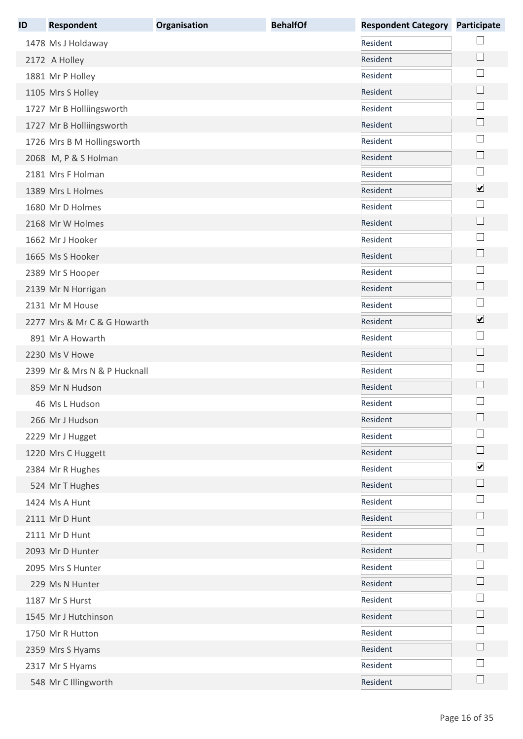| ID | <b>Respondent</b>            | Organisation | <b>BehalfOf</b> | <b>Respondent Category</b> | Participate          |
|----|------------------------------|--------------|-----------------|----------------------------|----------------------|
|    | 1478 Ms J Holdaway           |              |                 | Resident                   |                      |
|    | 2172 A Holley                |              |                 | Resident                   | $\Box$               |
|    | 1881 Mr P Holley             |              |                 | Resident                   |                      |
|    | 1105 Mrs S Holley            |              |                 | Resident                   |                      |
|    | 1727 Mr B Holliingsworth     |              |                 | Resident                   | $\mathbb{R}^n$       |
|    | 1727 Mr B Holliingsworth     |              |                 | Resident                   | $\Box$               |
|    | 1726 Mrs B M Hollingsworth   |              |                 | Resident                   | $\mathbb{R}^n$       |
|    | 2068 M, P & S Holman         |              |                 | Resident                   | $\Box$               |
|    | 2181 Mrs F Holman            |              |                 | Resident                   | $\vert \ \ \vert$    |
|    | 1389 Mrs L Holmes            |              |                 | Resident                   | $\blacktriangledown$ |
|    | 1680 Mr D Holmes             |              |                 | Resident                   | ×                    |
|    | 2168 Mr W Holmes             |              |                 | Resident                   | $\Box$               |
|    | 1662 Mr J Hooker             |              |                 | Resident                   |                      |
|    | 1665 Ms S Hooker             |              |                 | Resident                   | $\mathbf{L}$         |
|    | 2389 Mr S Hooper             |              |                 | Resident                   |                      |
|    | 2139 Mr N Horrigan           |              |                 | Resident                   | $\Box$               |
|    | 2131 Mr M House              |              |                 | Resident                   | $\Box$               |
|    | 2277 Mrs & Mr C & G Howarth  |              |                 | Resident                   | $\blacktriangledown$ |
|    | 891 Mr A Howarth             |              |                 | Resident                   |                      |
|    | 2230 Ms V Howe               |              |                 | Resident                   | $\Box$               |
|    | 2399 Mr & Mrs N & P Hucknall |              |                 | Resident                   | $\mathbb{R}^n$       |
|    | 859 Mr N Hudson              |              |                 | Resident                   | $\mathbf{I}$         |
|    | 46 Ms L Hudson               |              |                 | Resident                   |                      |
|    | 266 Mr J Hudson              |              |                 | Resident                   |                      |
|    | 2229 Mr J Hugget             |              |                 | Resident                   |                      |
|    | 1220 Mrs C Huggett           |              |                 | Resident                   | $\mathbf{L}$         |
|    | 2384 Mr R Hughes             |              |                 | Resident                   | $\blacktriangledown$ |
|    | 524 Mr T Hughes              |              |                 | Resident                   | $\Box$               |
|    | 1424 Ms A Hunt               |              |                 | Resident                   |                      |
|    | 2111 Mr D Hunt               |              |                 | Resident                   | $\Box$               |
|    | 2111 Mr D Hunt               |              |                 | Resident                   | $\sim$               |
|    | 2093 Mr D Hunter             |              |                 | Resident                   | $\mathbf{I}$         |
|    | 2095 Mrs S Hunter            |              |                 | Resident                   |                      |
|    | 229 Ms N Hunter              |              |                 | Resident                   | $\mathbb{R}^n$       |
|    | 1187 Mr S Hurst              |              |                 | Resident                   |                      |
|    | 1545 Mr J Hutchinson         |              |                 | Resident                   | L                    |
|    | 1750 Mr R Hutton             |              |                 | Resident                   |                      |
|    | 2359 Mrs S Hyams             |              |                 | Resident                   |                      |
|    | 2317 Mr S Hyams              |              |                 | Resident                   |                      |
|    | 548 Mr C Illingworth         |              |                 | Resident                   | L                    |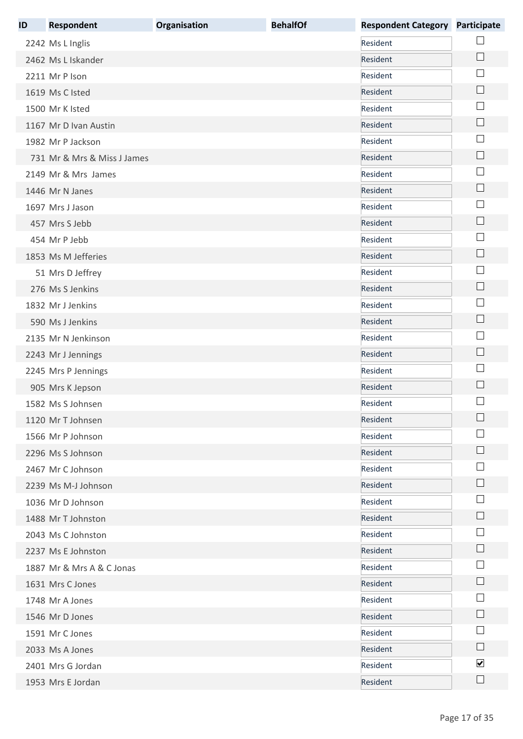| ID | <b>Respondent</b>           | Organisation | <b>BehalfOf</b> | <b>Respondent Category</b> | Participate                 |
|----|-----------------------------|--------------|-----------------|----------------------------|-----------------------------|
|    | 2242 Ms L Inglis            |              |                 | Resident                   |                             |
|    | 2462 Ms L Iskander          |              |                 | Resident                   | $\Box$                      |
|    | 2211 Mr P Ison              |              |                 | Resident                   |                             |
|    | 1619 Ms C Isted             |              |                 | Resident                   |                             |
|    | 1500 Mr K Isted             |              |                 | Resident                   | $\sim$                      |
|    | 1167 Mr D Ivan Austin       |              |                 | Resident                   | $\Box$                      |
|    | 1982 Mr P Jackson           |              |                 | Resident                   | ×                           |
|    | 731 Mr & Mrs & Miss J James |              |                 | Resident                   | $\Box$                      |
|    | 2149 Mr & Mrs James         |              |                 | Resident                   |                             |
|    | 1446 Mr N Janes             |              |                 | Resident                   | $\Box$                      |
|    | 1697 Mrs J Jason            |              |                 | Resident                   |                             |
|    | 457 Mrs S Jebb              |              |                 | Resident                   | $\Box$                      |
|    | 454 Mr P Jebb               |              |                 | Resident                   | $\sim$                      |
|    | 1853 Ms M Jefferies         |              |                 | Resident                   | $\mathcal{L}_{\mathcal{A}}$ |
|    | 51 Mrs D Jeffrey            |              |                 | Resident                   | ×                           |
|    | 276 Ms S Jenkins            |              |                 | Resident                   | $\Box$                      |
|    | 1832 Mr J Jenkins           |              |                 | Resident                   | └                           |
|    | 590 Ms J Jenkins            |              |                 | Resident                   |                             |
|    | 2135 Mr N Jenkinson         |              |                 | Resident                   | ×                           |
|    | 2243 Mr J Jennings          |              |                 | Resident                   |                             |
|    | 2245 Mrs P Jennings         |              |                 | Resident                   | ×                           |
|    | 905 Mrs K Jepson            |              |                 | Resident                   | $\mathbb{R}^n$              |
|    | 1582 Ms S Johnsen           |              |                 | Resident                   |                             |
|    | 1120 Mr T Johnsen           |              |                 | Resident                   |                             |
|    | 1566 Mr P Johnson           |              |                 | Resident                   |                             |
|    | 2296 Ms S Johnson           |              |                 | Resident                   | $\mathbf{L}$                |
|    | 2467 Mr C Johnson           |              |                 | Resident                   |                             |
|    | 2239 Ms M-J Johnson         |              |                 | Resident                   |                             |
|    | 1036 Mr D Johnson           |              |                 | Resident                   |                             |
|    | 1488 Mr T Johnston          |              |                 | Resident                   |                             |
|    | 2043 Ms C Johnston          |              |                 | Resident                   |                             |
|    | 2237 Ms E Johnston          |              |                 | Resident                   | $\vert \ \ \vert$           |
|    | 1887 Mr & Mrs A & C Jonas   |              |                 | Resident                   | $\sim$                      |
|    | 1631 Mrs C Jones            |              |                 | Resident                   | $\mathbf{I}$                |
|    | 1748 Mr A Jones             |              |                 | Resident                   | ×                           |
|    | 1546 Mr D Jones             |              |                 | Resident                   | $\mathbb{R}^n$              |
|    | 1591 Mr C Jones             |              |                 | Resident                   |                             |
|    | 2033 Ms A Jones             |              |                 | Resident                   |                             |
|    | 2401 Mrs G Jordan           |              |                 | Resident                   | $\blacktriangledown$        |
|    | 1953 Mrs E Jordan           |              |                 | Resident                   | $\Box$                      |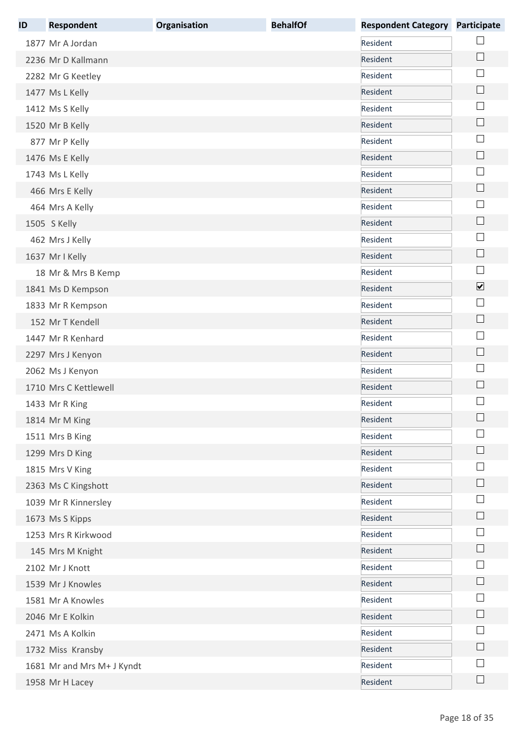| ID | <b>Respondent</b>          | <b>Organisation</b> | <b>BehalfOf</b> | <b>Respondent Category</b> | Participate                 |
|----|----------------------------|---------------------|-----------------|----------------------------|-----------------------------|
|    | 1877 Mr A Jordan           |                     |                 | Resident                   |                             |
|    | 2236 Mr D Kallmann         |                     |                 | Resident                   | $\Box$                      |
|    | 2282 Mr G Keetley          |                     |                 | Resident                   | ×                           |
|    | 1477 Ms L Kelly            |                     |                 | Resident                   | $\mathcal{L}_{\mathcal{A}}$ |
|    | 1412 Ms S Kelly            |                     |                 | Resident                   | $\mathbb{R}^n$              |
|    | 1520 Mr B Kelly            |                     |                 | Resident                   | $\Box$                      |
|    | 877 Mr P Kelly             |                     |                 | Resident                   |                             |
|    | 1476 Ms E Kelly            |                     |                 | Resident                   | $\Box$                      |
|    | 1743 Ms L Kelly            |                     |                 | Resident                   |                             |
|    | 466 Mrs E Kelly            |                     |                 | Resident                   | $\Box$                      |
|    | 464 Mrs A Kelly            |                     |                 | Resident                   |                             |
|    | 1505 S Kelly               |                     |                 | Resident                   | $\Box$                      |
|    | 462 Mrs J Kelly            |                     |                 | Resident                   | $\mathbb{R}^n$              |
|    | 1637 Mr I Kelly            |                     |                 | Resident                   | $\Box$                      |
|    | 18 Mr & Mrs B Kemp         |                     |                 | Resident                   | L                           |
|    | 1841 Ms D Kempson          |                     |                 | Resident                   | $\overline{\mathbf{v}}$     |
|    | 1833 Mr R Kempson          |                     |                 | Resident                   | $\Box$                      |
|    | 152 Mr T Kendell           |                     |                 | Resident                   | $\Box$                      |
|    | 1447 Mr R Kenhard          |                     |                 | Resident                   | ×                           |
|    | 2297 Mrs J Kenyon          |                     |                 | Resident                   | $\mathbb{R}^n$              |
|    | 2062 Ms J Kenyon           |                     |                 | Resident                   | ×                           |
|    | 1710 Mrs C Kettlewell      |                     |                 | Resident                   | $\mathbf{L}$                |
|    | 1433 Mr R King             |                     |                 | Resident                   |                             |
|    | 1814 Mr M King             |                     |                 | Resident                   |                             |
|    | 1511 Mrs B King            |                     |                 | Resident                   |                             |
|    | 1299 Mrs D King            |                     |                 | Resident                   | $\mathsf{L}$                |
|    | 1815 Mrs V King            |                     |                 | Resident                   |                             |
|    | 2363 Ms C Kingshott        |                     |                 | Resident                   |                             |
|    | 1039 Mr R Kinnersley       |                     |                 | Resident                   |                             |
|    | 1673 Ms S Kipps            |                     |                 | Resident                   |                             |
|    | 1253 Mrs R Kirkwood        |                     |                 | Resident                   |                             |
|    | 145 Mrs M Knight           |                     |                 | Resident                   | $\mathsf{L}$                |
|    | 2102 Mr J Knott            |                     |                 | Resident                   |                             |
|    | 1539 Mr J Knowles          |                     |                 | Resident                   | $\mathbb{R}^n$              |
|    | 1581 Mr A Knowles          |                     |                 | Resident                   | $\sim$                      |
|    | 2046 Mr E Kolkin           |                     |                 | Resident                   | L                           |
|    | 2471 Ms A Kolkin           |                     |                 | Resident                   |                             |
|    | 1732 Miss Kransby          |                     |                 | Resident                   |                             |
|    | 1681 Mr and Mrs M+ J Kyndt |                     |                 | Resident                   |                             |
|    | 1958 Mr H Lacey            |                     |                 | Resident                   |                             |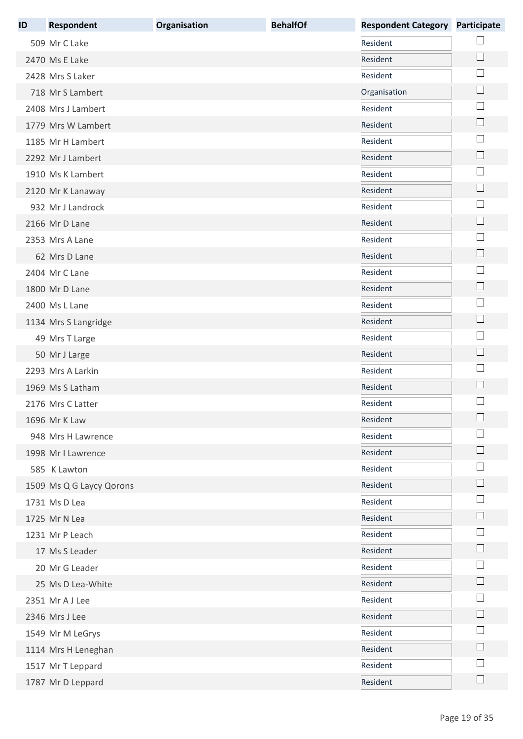| ID | <b>Respondent</b>        | Organisation | <b>BehalfOf</b> | <b>Respondent Category</b> | Participate                 |
|----|--------------------------|--------------|-----------------|----------------------------|-----------------------------|
|    | 509 Mr C Lake            |              |                 | Resident                   |                             |
|    | 2470 Ms E Lake           |              |                 | Resident                   | $\Box$                      |
|    | 2428 Mrs S Laker         |              |                 | Resident                   | ×                           |
|    | 718 Mr S Lambert         |              |                 | Organisation               | $\mathcal{L}_{\mathcal{A}}$ |
|    | 2408 Mrs J Lambert       |              |                 | Resident                   | $\sim$                      |
|    | 1779 Mrs W Lambert       |              |                 | Resident                   | $\Box$                      |
|    | 1185 Mr H Lambert        |              |                 | Resident                   | ×                           |
|    | 2292 Mr J Lambert        |              |                 | Resident                   | $\Box$                      |
|    | 1910 Ms K Lambert        |              |                 | Resident                   |                             |
|    | 2120 Mr K Lanaway        |              |                 | Resident                   | $\Box$                      |
|    | 932 Mr J Landrock        |              |                 | Resident                   |                             |
|    | 2166 Mr D Lane           |              |                 | Resident                   | $\Box$                      |
|    | 2353 Mrs A Lane          |              |                 | Resident                   | $\sim$                      |
|    | 62 Mrs D Lane            |              |                 | Resident                   | $\mathcal{L}_{\mathcal{A}}$ |
|    | 2404 Mr C Lane           |              |                 | Resident                   | $\sim$                      |
|    | 1800 Mr D Lane           |              |                 | Resident                   | $\Box$                      |
|    | 2400 Ms L Lane           |              |                 | Resident                   | $\Box$                      |
|    | 1134 Mrs S Langridge     |              |                 | Resident                   |                             |
|    | 49 Mrs T Large           |              |                 | Resident                   | ×                           |
|    | 50 Mr J Large            |              |                 | Resident                   |                             |
|    | 2293 Mrs A Larkin        |              |                 | Resident                   | ×                           |
|    | 1969 Ms S Latham         |              |                 | Resident                   | $\mathbb{R}^n$              |
|    | 2176 Mrs C Latter        |              |                 | Resident                   |                             |
|    | 1696 Mr K Law            |              |                 | Resident                   |                             |
|    | 948 Mrs H Lawrence       |              |                 | Resident                   |                             |
|    | 1998 Mr I Lawrence       |              |                 | Resident                   | $\mathbb{R}^n$              |
|    | 585 K Lawton             |              |                 | Resident                   |                             |
|    | 1509 Ms Q G Laycy Qorons |              |                 | Resident                   |                             |
|    | 1731 Ms D Lea            |              |                 | Resident                   |                             |
|    | 1725 Mr N Lea            |              |                 | Resident                   |                             |
|    | 1231 Mr P Leach          |              |                 | Resident                   |                             |
|    | 17 Ms S Leader           |              |                 | Resident                   | $\vert \ \ \vert$           |
|    | 20 Mr G Leader           |              |                 | Resident                   | ×                           |
|    | 25 Ms D Lea-White        |              |                 | Resident                   | $\mathbf{L}$                |
|    | 2351 Mr A J Lee          |              |                 | Resident                   |                             |
|    | 2346 Mrs J Lee           |              |                 | Resident                   | $\vert \ \ \vert$           |
|    | 1549 Mr M LeGrys         |              |                 | Resident                   |                             |
|    | 1114 Mrs H Leneghan      |              |                 | Resident                   |                             |
|    | 1517 Mr T Leppard        |              |                 | Resident                   |                             |
|    | 1787 Mr D Leppard        |              |                 | Resident                   | $\vert \ \ \vert$           |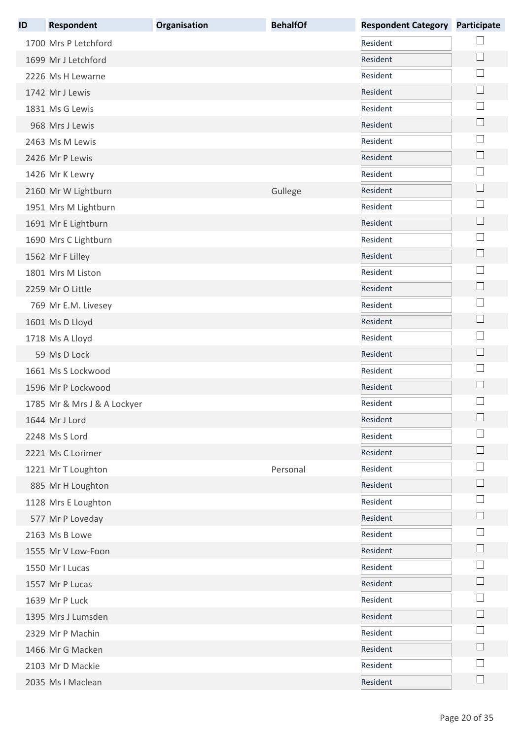| ID | <b>Respondent</b>           | Organisation | <b>BehalfOf</b> | <b>Respondent Category</b> | <b>Participate</b>          |
|----|-----------------------------|--------------|-----------------|----------------------------|-----------------------------|
|    | 1700 Mrs P Letchford        |              |                 | Resident                   |                             |
|    | 1699 Mr J Letchford         |              |                 | Resident                   | ∟                           |
|    | 2226 Ms H Lewarne           |              |                 | Resident                   | $\mathbb{R}^n$              |
|    | 1742 Mr J Lewis             |              |                 | Resident                   | $\mathbf{L}$                |
|    | 1831 Ms G Lewis             |              |                 | Resident                   | L.                          |
|    | 968 Mrs J Lewis             |              |                 | Resident                   | ∟                           |
|    | 2463 Ms M Lewis             |              |                 | Resident                   |                             |
|    | 2426 Mr P Lewis             |              |                 | Resident                   | $\Box$                      |
|    | 1426 Mr K Lewry             |              |                 | Resident                   |                             |
|    | 2160 Mr W Lightburn         |              | Gullege         | Resident                   | $\Box$                      |
|    | 1951 Mrs M Lightburn        |              |                 | Resident                   |                             |
|    | 1691 Mr E Lightburn         |              |                 | Resident                   | ∟                           |
|    | 1690 Mrs C Lightburn        |              |                 | Resident                   | L.                          |
|    | 1562 Mr F Lilley            |              |                 | Resident                   | L.                          |
|    | 1801 Mrs M Liston           |              |                 | Resident                   |                             |
|    | 2259 Mr O Little            |              |                 | Resident                   |                             |
|    | 769 Mr E.M. Livesey         |              |                 | Resident                   | $\mathcal{L}_{\mathcal{A}}$ |
|    | 1601 Ms D Lloyd             |              |                 | Resident                   | $\mathcal{L}_{\mathcal{A}}$ |
|    | 1718 Ms A Lloyd             |              |                 | Resident                   |                             |
|    | 59 Ms D Lock                |              |                 | Resident                   | $\Box$                      |
|    | 1661 Ms S Lockwood          |              |                 | Resident                   |                             |
|    | 1596 Mr P Lockwood          |              |                 | Resident                   | $\mathbf{L}$                |
|    | 1785 Mr & Mrs J & A Lockyer |              |                 | Resident                   |                             |
|    | 1644 Mr J Lord              |              |                 | Resident                   |                             |
|    | 2248 Ms S Lord              |              |                 | Resident                   |                             |
|    | 2221 Ms C Lorimer           |              |                 | Resident                   |                             |
|    | 1221 Mr T Loughton          |              | Personal        | Resident                   |                             |
|    | 885 Mr H Loughton           |              |                 | Resident                   |                             |
|    | 1128 Mrs E Loughton         |              |                 | Resident                   |                             |
|    | 577 Mr P Loveday            |              |                 | Resident                   | L                           |
|    | 2163 Ms B Lowe              |              |                 | Resident                   | L.                          |
|    | 1555 Mr V Low-Foon          |              |                 | Resident                   |                             |
|    | 1550 Mr I Lucas             |              |                 | Resident                   |                             |
|    | 1557 Mr P Lucas             |              |                 | Resident                   |                             |
|    | 1639 Mr P Luck              |              |                 | Resident                   |                             |
|    | 1395 Mrs J Lumsden          |              |                 | Resident                   |                             |
|    | 2329 Mr P Machin            |              |                 | Resident                   |                             |
|    | 1466 Mr G Macken            |              |                 | Resident                   |                             |
|    | 2103 Mr D Mackie            |              |                 | Resident                   |                             |
|    | 2035 Ms I Maclean           |              |                 | Resident                   |                             |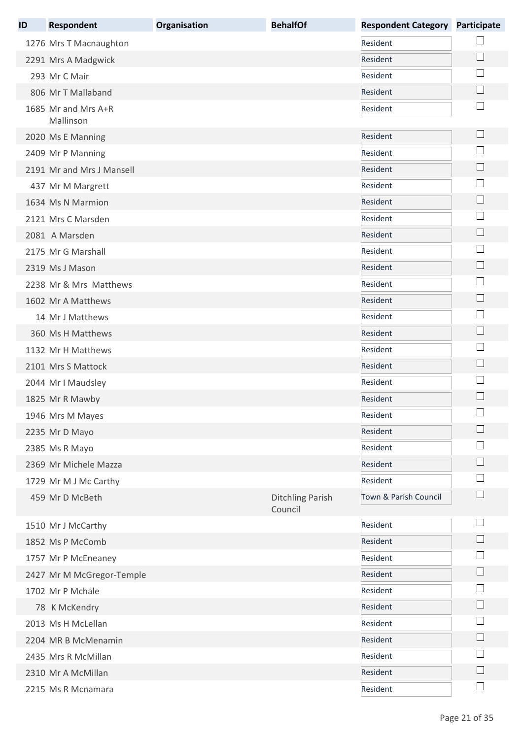| ID | <b>Respondent</b>                | Organisation | <b>BehalfOf</b>                    | <b>Respondent Category</b> | <b>Participate</b> |
|----|----------------------------------|--------------|------------------------------------|----------------------------|--------------------|
|    | 1276 Mrs T Macnaughton           |              |                                    | Resident                   |                    |
|    | 2291 Mrs A Madgwick              |              |                                    | Resident                   | $\vert \ \ \vert$  |
|    | 293 Mr C Mair                    |              |                                    | Resident                   |                    |
|    | 806 Mr T Mallaband               |              |                                    | Resident                   |                    |
|    | 1685 Mr and Mrs A+R<br>Mallinson |              |                                    | Resident                   |                    |
|    | 2020 Ms E Manning                |              |                                    | Resident                   | $\Box$             |
|    | 2409 Mr P Manning                |              |                                    | Resident                   |                    |
|    | 2191 Mr and Mrs J Mansell        |              |                                    | Resident                   | $\Box$             |
|    | 437 Mr M Margrett                |              |                                    | Resident                   |                    |
|    | 1634 Ms N Marmion                |              |                                    | Resident                   |                    |
|    | 2121 Mrs C Marsden               |              |                                    | Resident                   | ×                  |
|    | 2081 A Marsden                   |              |                                    | Resident                   | $\mathbf{L}$       |
|    | 2175 Mr G Marshall               |              |                                    | Resident                   | $\mathbb{R}^n$     |
|    | 2319 Ms J Mason                  |              |                                    | Resident                   | $\mathbf{L}$       |
|    | 2238 Mr & Mrs Matthews           |              |                                    | Resident                   | $\mathcal{L}$      |
|    | 1602 Mr A Matthews               |              |                                    | Resident                   |                    |
|    | 14 Mr J Matthews                 |              |                                    | Resident                   |                    |
|    | 360 Ms H Matthews                |              |                                    | Resident                   | $\Box$             |
|    | 1132 Mr H Matthews               |              |                                    | Resident                   |                    |
|    | 2101 Mrs S Mattock               |              |                                    | Resident                   | $\mathbf{L}$       |
|    | 2044 Mr I Maudsley               |              |                                    | Resident                   |                    |
|    | 1825 Mr R Mawby                  |              |                                    | Resident                   |                    |
|    | 1946 Mrs M Mayes                 |              |                                    | Resident                   | $\Box$             |
|    | 2235 Mr D Mayo                   |              |                                    | Resident                   |                    |
|    | 2385 Ms R Mayo                   |              |                                    | Resident                   |                    |
|    | 2369 Mr Michele Mazza            |              |                                    | Resident                   |                    |
|    | 1729 Mr M J Mc Carthy            |              |                                    | Resident                   |                    |
|    | 459 Mr D McBeth                  |              | <b>Ditchling Parish</b><br>Council | Town & Parish Council      |                    |
|    | 1510 Mr J McCarthy               |              |                                    | Resident                   | $\mathbb{R}^n$     |
|    | 1852 Ms P McComb                 |              |                                    | Resident                   |                    |
|    | 1757 Mr P McEneaney              |              |                                    | Resident                   |                    |
|    | 2427 Mr M McGregor-Temple        |              |                                    | Resident                   | $\Box$             |
|    | 1702 Mr P Mchale                 |              |                                    | Resident                   |                    |
|    | 78 K McKendry                    |              |                                    | Resident                   | $\Box$             |
|    | 2013 Ms H McLellan               |              |                                    | Resident                   |                    |
|    | 2204 MR B McMenamin              |              |                                    | Resident                   | $\mathbb{R}^n$     |
|    | 2435 Mrs R McMillan              |              |                                    | Resident                   |                    |
|    | 2310 Mr A McMillan               |              |                                    | Resident                   |                    |
|    | 2215 Ms R Mcnamara               |              |                                    | Resident                   | $\Box$             |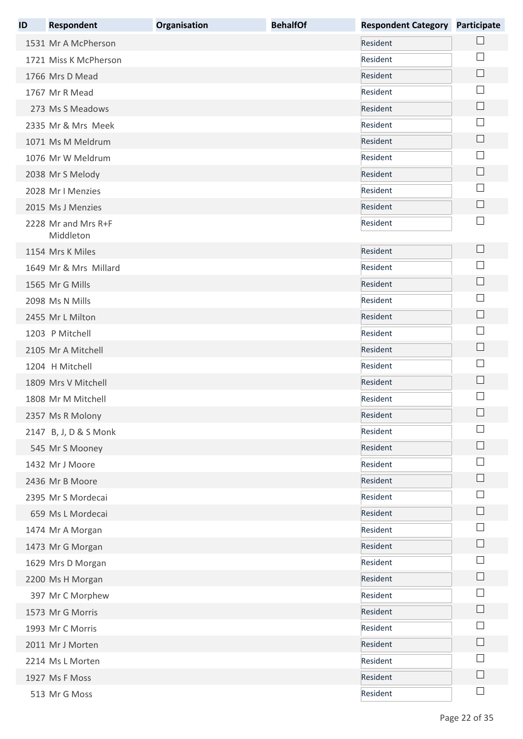| ID | <b>Respondent</b>                | Organisation | <b>BehalfOf</b> | <b>Respondent Category Participate</b> |                             |
|----|----------------------------------|--------------|-----------------|----------------------------------------|-----------------------------|
|    | 1531 Mr A McPherson              |              |                 | Resident                               |                             |
|    | 1721 Miss K McPherson            |              |                 | Resident                               |                             |
|    | 1766 Mrs D Mead                  |              |                 | Resident                               | $\Box$                      |
|    | 1767 Mr R Mead                   |              |                 | Resident                               |                             |
|    | 273 Ms S Meadows                 |              |                 | Resident                               | $\vert \ \ \vert$           |
|    | 2335 Mr & Mrs Meek               |              |                 | Resident                               | $\vert \ \ \vert$           |
|    | 1071 Ms M Meldrum                |              |                 | Resident                               | $\mathcal{L}_{\mathcal{A}}$ |
|    | 1076 Mr W Meldrum                |              |                 | Resident                               | $\mathbb{R}^n$              |
|    | 2038 Mr S Melody                 |              |                 | Resident                               | $\Box$                      |
|    | 2028 Mr I Menzies                |              |                 | Resident                               | $\sim$                      |
|    | 2015 Ms J Menzies                |              |                 | Resident                               | $\Box$                      |
|    | 2228 Mr and Mrs R+F<br>Middleton |              |                 | Resident                               |                             |
|    | 1154 Mrs K Miles                 |              |                 | Resident                               | $\mathsf{L}$                |
|    | 1649 Mr & Mrs Millard            |              |                 | Resident                               | ×                           |
|    | 1565 Mr G Mills                  |              |                 | Resident                               | $\mathcal{L}_{\mathcal{A}}$ |
|    | 2098 Ms N Mills                  |              |                 | Resident                               | ×                           |
|    | 2455 Mr L Milton                 |              |                 | Resident                               | $\Box$                      |
|    | 1203 P Mitchell                  |              |                 | Resident                               |                             |
|    | 2105 Mr A Mitchell               |              |                 | Resident                               | $\Box$                      |
|    | 1204 H Mitchell                  |              |                 | Resident                               |                             |
|    | 1809 Mrs V Mitchell              |              |                 | Resident                               |                             |
|    | 1808 Mr M Mitchell               |              |                 | Resident                               |                             |
|    | 2357 Ms R Molony                 |              |                 | Resident                               |                             |
|    | 2147 B, J, D & S Monk            |              |                 | Resident                               | ×                           |
|    | 545 Mr S Mooney                  |              |                 | Resident                               | I.                          |
|    | 1432 Mr J Moore                  |              |                 | Resident                               |                             |
|    | 2436 Mr B Moore                  |              |                 | Resident                               | $\Box$                      |
|    | 2395 Mr S Mordecai               |              |                 | Resident                               |                             |
|    | 659 Ms L Mordecai                |              |                 | Resident                               |                             |
|    | 1474 Mr A Morgan                 |              |                 | Resident                               |                             |
|    | 1473 Mr G Morgan                 |              |                 | Resident                               | $\sim$                      |
|    | 1629 Mrs D Morgan                |              |                 | Resident                               |                             |
|    | 2200 Ms H Morgan                 |              |                 | Resident                               | $\mathcal{L}_{\mathcal{A}}$ |
|    | 397 Mr C Morphew                 |              |                 | Resident                               |                             |
|    | 1573 Mr G Morris                 |              |                 | Resident                               | $\vert \ \ \vert$           |
|    | 1993 Mr C Morris                 |              |                 | Resident                               |                             |
|    | 2011 Mr J Morten                 |              |                 | Resident                               |                             |
|    | 2214 Ms L Morten                 |              |                 | Resident                               |                             |
|    | 1927 Ms F Moss                   |              |                 | Resident                               |                             |
|    | 513 Mr G Moss                    |              |                 | Resident                               | $\Box$                      |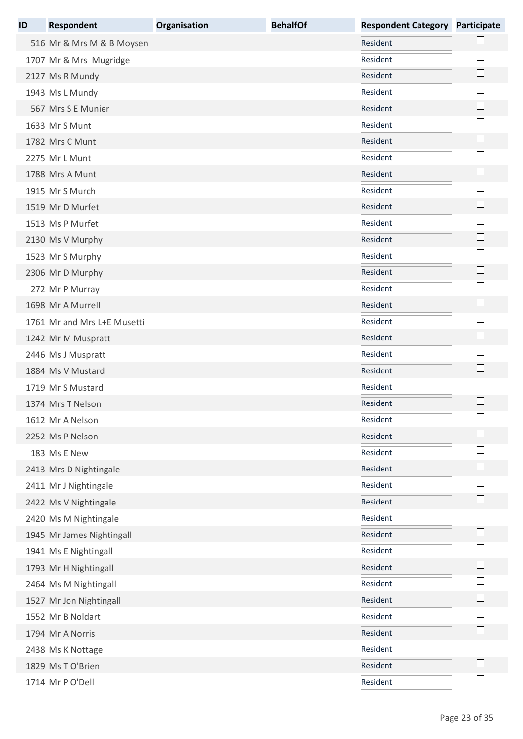| ID | <b>Respondent</b>           | Organisation | <b>BehalfOf</b> | <b>Respondent Category</b> | <b>Participate</b> |
|----|-----------------------------|--------------|-----------------|----------------------------|--------------------|
|    | 516 Mr & Mrs M & B Moysen   |              |                 | Resident                   |                    |
|    | 1707 Mr & Mrs Mugridge      |              |                 | Resident                   |                    |
|    | 2127 Ms R Mundy             |              |                 | Resident                   | $\Box$             |
|    | 1943 Ms L Mundy             |              |                 | Resident                   |                    |
|    | 567 Mrs S E Munier          |              |                 | Resident                   | $\mathbf{L}$       |
|    | 1633 Mr S Munt              |              |                 | Resident                   |                    |
|    | 1782 Mrs C Munt             |              |                 | Resident                   |                    |
|    | 2275 Mr L Munt              |              |                 | Resident                   |                    |
|    | 1788 Mrs A Munt             |              |                 | Resident                   |                    |
|    | 1915 Mr S Murch             |              |                 | Resident                   |                    |
|    | 1519 Mr D Murfet            |              |                 | Resident                   |                    |
|    | 1513 Ms P Murfet            |              |                 | Resident                   |                    |
|    | 2130 Ms V Murphy            |              |                 | Resident                   |                    |
|    | 1523 Mr S Murphy            |              |                 | Resident                   | $\vert$            |
|    | 2306 Mr D Murphy            |              |                 | Resident                   | H                  |
|    | 272 Mr P Murray             |              |                 | Resident                   |                    |
|    | 1698 Mr A Murrell           |              |                 | Resident                   |                    |
|    | 1761 Mr and Mrs L+E Musetti |              |                 | Resident                   |                    |
|    | 1242 Mr M Muspratt          |              |                 | Resident                   | $\Box$             |
|    | 2446 Ms J Muspratt          |              |                 | Resident                   |                    |
|    | 1884 Ms V Mustard           |              |                 | Resident                   |                    |
|    | 1719 Mr S Mustard           |              |                 | Resident                   |                    |
|    | 1374 Mrs T Nelson           |              |                 | Resident                   |                    |
|    | 1612 Mr A Nelson            |              |                 | Resident                   |                    |
|    | 2252 Ms P Nelson            |              |                 | Resident                   |                    |
|    | 183 Ms E New                |              |                 | Resident                   |                    |
|    | 2413 Mrs D Nightingale      |              |                 | Resident                   |                    |
|    | 2411 Mr J Nightingale       |              |                 | Resident                   |                    |
|    | 2422 Ms V Nightingale       |              |                 | Resident                   |                    |
|    | 2420 Ms M Nightingale       |              |                 | Resident                   |                    |
|    | 1945 Mr James Nightingall   |              |                 | Resident                   |                    |
|    | 1941 Ms E Nightingall       |              |                 | Resident                   |                    |
|    | 1793 Mr H Nightingall       |              |                 | Resident                   |                    |
|    | 2464 Ms M Nightingall       |              |                 | Resident                   |                    |
|    | 1527 Mr Jon Nightingall     |              |                 | Resident                   |                    |
|    | 1552 Mr B Noldart           |              |                 | Resident                   |                    |
|    | 1794 Mr A Norris            |              |                 | Resident                   |                    |
|    | 2438 Ms K Nottage           |              |                 | Resident                   |                    |
|    | 1829 Ms T O'Brien           |              |                 | Resident                   |                    |
|    | 1714 Mr P O'Dell            |              |                 | Resident                   |                    |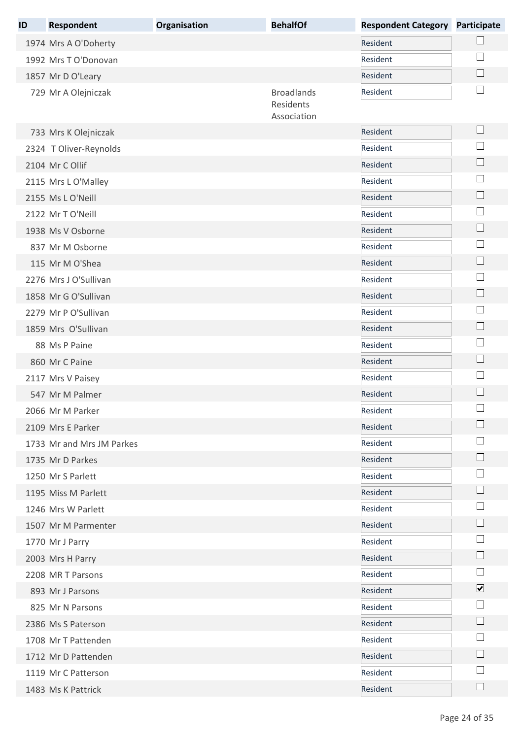| ID | Respondent                | Organisation | <b>BehalfOf</b>          | <b>Respondent Category</b> | <b>Participate</b>          |
|----|---------------------------|--------------|--------------------------|----------------------------|-----------------------------|
|    | 1974 Mrs A O'Doherty      |              |                          | Resident                   |                             |
|    | 1992 Mrs T O'Donovan      |              |                          | Resident                   |                             |
|    | 1857 Mr D O'Leary         |              |                          | Resident                   |                             |
|    | 729 Mr A Olejniczak       |              | <b>Broadlands</b>        | Resident                   |                             |
|    |                           |              | Residents<br>Association |                            |                             |
|    | 733 Mrs K Olejniczak      |              |                          | Resident                   | $\sqcup$                    |
|    | 2324 T Oliver-Reynolds    |              |                          | Resident                   |                             |
|    | 2104 Mr C Ollif           |              |                          | Resident                   |                             |
|    | 2115 Mrs L O'Malley       |              |                          | Resident                   |                             |
|    | 2155 Ms L O'Neill         |              |                          | Resident                   | $\vert \ \ \vert$           |
|    | 2122 Mr T O'Neill         |              |                          | Resident                   |                             |
|    | 1938 Ms V Osborne         |              |                          | Resident                   |                             |
|    | 837 Mr M Osborne          |              |                          | Resident                   |                             |
|    | 115 Mr M O'Shea           |              |                          | Resident                   | $\Box$                      |
|    | 2276 Mrs J O'Sullivan     |              |                          | Resident                   |                             |
|    | 1858 Mr G O'Sullivan      |              |                          | Resident                   | $\mathcal{L}_{\mathcal{A}}$ |
|    | 2279 Mr P O'Sullivan      |              |                          | Resident                   |                             |
|    | 1859 Mrs O'Sullivan       |              |                          | Resident                   | $\vert \ \ \vert$           |
|    | 88 Ms P Paine             |              |                          | Resident                   |                             |
|    | 860 Mr C Paine            |              |                          | Resident                   | $\Box$                      |
|    | 2117 Mrs V Paisey         |              |                          | Resident                   |                             |
|    | 547 Mr M Palmer           |              |                          | Resident                   |                             |
|    | 2066 Mr M Parker          |              |                          | Resident                   |                             |
|    | 2109 Mrs E Parker         |              |                          | Resident                   |                             |
|    | 1733 Mr and Mrs JM Parkes |              |                          | Resident                   |                             |
|    | 1735 Mr D Parkes          |              |                          | Resident                   |                             |
|    | 1250 Mr S Parlett         |              |                          | Resident                   |                             |
|    | 1195 Miss M Parlett       |              |                          | Resident                   |                             |
|    | 1246 Mrs W Parlett        |              |                          | Resident                   |                             |
|    | 1507 Mr M Parmenter       |              |                          | Resident                   |                             |
|    | 1770 Mr J Parry           |              |                          | Resident                   |                             |
|    | 2003 Mrs H Parry          |              |                          | Resident                   |                             |
|    | 2208 MR T Parsons         |              |                          | Resident                   |                             |
|    | 893 Mr J Parsons          |              |                          | Resident                   | $\overline{\mathbf{v}}$     |
|    | 825 Mr N Parsons          |              |                          | Resident                   |                             |
|    | 2386 Ms S Paterson        |              |                          | Resident                   |                             |
|    | 1708 Mr T Pattenden       |              |                          | Resident                   |                             |
|    | 1712 Mr D Pattenden       |              |                          | Resident                   |                             |
|    | 1119 Mr C Patterson       |              |                          | Resident                   |                             |
|    | 1483 Ms K Pattrick        |              |                          | Resident                   |                             |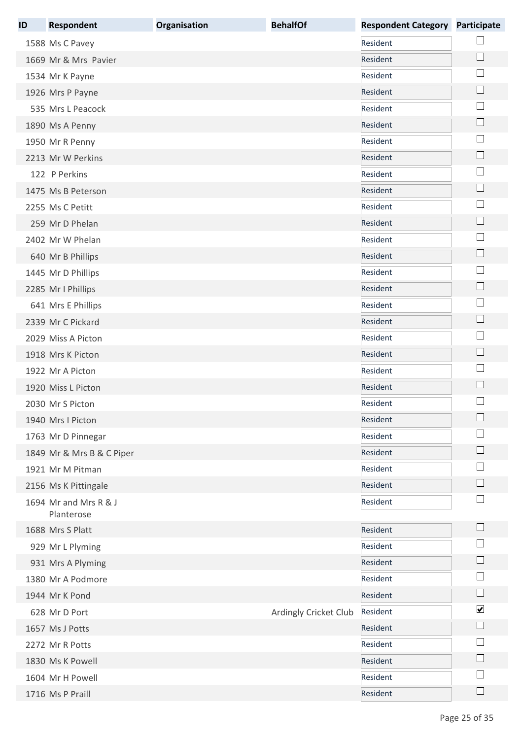| ID | <b>Respondent</b>                   | Organisation | <b>BehalfOf</b>       | <b>Respondent Category</b> | <b>Participate</b>          |
|----|-------------------------------------|--------------|-----------------------|----------------------------|-----------------------------|
|    | 1588 Ms C Pavey                     |              |                       | Resident                   |                             |
|    | 1669 Mr & Mrs Pavier                |              |                       | Resident                   | $\Box$                      |
|    | 1534 Mr K Payne                     |              |                       | Resident                   | ×                           |
|    | 1926 Mrs P Payne                    |              |                       | Resident                   |                             |
|    | 535 Mrs L Peacock                   |              |                       | Resident                   | $\mathcal{L}_{\mathcal{A}}$ |
|    | 1890 Ms A Penny                     |              |                       | Resident                   | $\Box$                      |
|    | 1950 Mr R Penny                     |              |                       | Resident                   | $\mathbb{R}^n$              |
|    | 2213 Mr W Perkins                   |              |                       | Resident                   | $\Box$                      |
|    | 122 P Perkins                       |              |                       | Resident                   | $\mathcal{L}$               |
|    | 1475 Ms B Peterson                  |              |                       | Resident                   | $\Box$                      |
|    | 2255 Ms C Petitt                    |              |                       | Resident                   | $\sim$                      |
|    | 259 Mr D Phelan                     |              |                       | Resident                   | $\Box$                      |
|    | 2402 Mr W Phelan                    |              |                       | Resident                   |                             |
|    | 640 Mr B Phillips                   |              |                       | Resident                   | $\mathcal{L}_{\mathcal{A}}$ |
|    | 1445 Mr D Phillips                  |              |                       | Resident                   | ×                           |
|    | 2285 Mr I Phillips                  |              |                       | Resident                   | $\overline{\phantom{a}}$    |
|    | 641 Mrs E Phillips                  |              |                       | Resident                   |                             |
|    | 2339 Mr C Pickard                   |              |                       | Resident                   | $\Box$                      |
|    | 2029 Miss A Picton                  |              |                       | Resident                   | $\sim$                      |
|    | 1918 Mrs K Picton                   |              |                       | Resident                   | $\Box$                      |
|    | 1922 Mr A Picton                    |              |                       | Resident                   | ×                           |
|    | 1920 Miss L Picton                  |              |                       | Resident                   | ×                           |
|    | 2030 Mr S Picton                    |              |                       | Resident                   |                             |
|    | 1940 Mrs I Picton                   |              |                       | Resident                   |                             |
|    | 1763 Mr D Pinnegar                  |              |                       | Resident                   |                             |
|    | 1849 Mr & Mrs B & C Piper           |              |                       | Resident                   |                             |
|    | 1921 Mr M Pitman                    |              |                       | Resident                   |                             |
|    | 2156 Ms K Pittingale                |              |                       | Resident                   |                             |
|    | 1694 Mr and Mrs R & J<br>Planterose |              |                       | Resident                   | $\mathbb{R}^n$              |
|    | 1688 Mrs S Platt                    |              |                       | Resident                   | $\mathbf{I}$                |
|    | 929 Mr L Plyming                    |              |                       | Resident                   |                             |
|    | 931 Mrs A Plyming                   |              |                       | Resident                   | ×                           |
|    | 1380 Mr A Podmore                   |              |                       | Resident                   |                             |
|    | 1944 Mr K Pond                      |              |                       | Resident                   | $\Box$                      |
|    | 628 Mr D Port                       |              | Ardingly Cricket Club | Resident                   | $\blacktriangledown$        |
|    | 1657 Ms J Potts                     |              |                       | Resident                   | $\Box$                      |
|    | 2272 Mr R Potts                     |              |                       | Resident                   |                             |
|    | 1830 Ms K Powell                    |              |                       | Resident                   | $\mathbb{R}$                |
|    | 1604 Mr H Powell                    |              |                       | Resident                   |                             |
|    | 1716 Ms P Praill                    |              |                       | Resident                   |                             |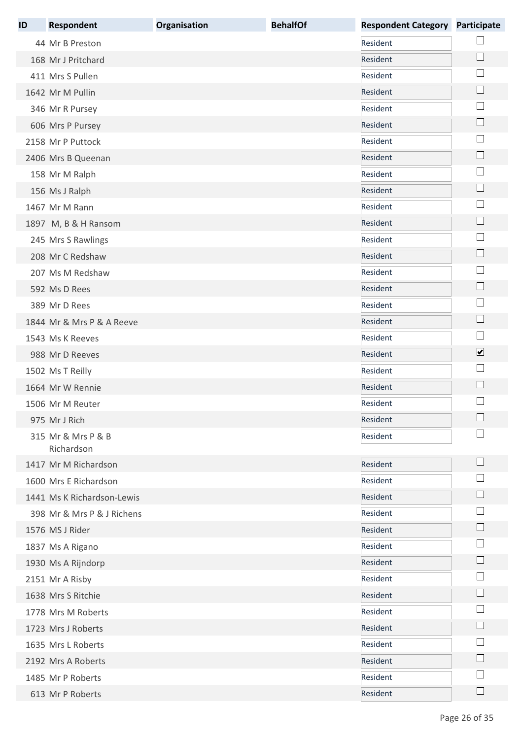| ID | <b>Respondent</b>                | Organisation | <b>BehalfOf</b> | <b>Respondent Category</b> | Participate             |
|----|----------------------------------|--------------|-----------------|----------------------------|-------------------------|
|    | 44 Mr B Preston                  |              |                 | Resident                   |                         |
|    | 168 Mr J Pritchard               |              |                 | Resident                   | $\Box$                  |
|    | 411 Mrs S Pullen                 |              |                 | Resident                   |                         |
|    | 1642 Mr M Pullin                 |              |                 | Resident                   |                         |
|    | 346 Mr R Pursey                  |              |                 | Resident                   | $\sim$                  |
|    | 606 Mrs P Pursey                 |              |                 | Resident                   | $\mathbf{L}$            |
|    | 2158 Mr P Puttock                |              |                 | Resident                   | ×                       |
|    | 2406 Mrs B Queenan               |              |                 | Resident                   | $\mathbf{L}$            |
|    | 158 Mr M Ralph                   |              |                 | Resident                   |                         |
|    | 156 Ms J Ralph                   |              |                 | Resident                   | $\Box$                  |
|    | 1467 Mr M Rann                   |              |                 | Resident                   |                         |
|    | 1897 M, B & H Ransom             |              |                 | Resident                   | $\Box$                  |
|    | 245 Mrs S Rawlings               |              |                 | Resident                   |                         |
|    | 208 Mr C Redshaw                 |              |                 | Resident                   | $\sim$                  |
|    | 207 Ms M Redshaw                 |              |                 | Resident                   |                         |
|    | 592 Ms D Rees                    |              |                 | Resident                   | $\Box$                  |
|    | 389 Mr D Rees                    |              |                 | Resident                   | $\sim$                  |
|    | 1844 Mr & Mrs P & A Reeve        |              |                 | Resident                   | $\Box$                  |
|    | 1543 Ms K Reeves                 |              |                 | Resident                   | $\sim$                  |
|    | 988 Mr D Reeves                  |              |                 | Resident                   | $\overline{\mathbf{v}}$ |
|    | 1502 Ms T Reilly                 |              |                 | Resident                   | $\sim$                  |
|    | 1664 Mr W Rennie                 |              |                 | Resident                   |                         |
|    | 1506 Mr M Reuter                 |              |                 | Resident                   |                         |
|    | 975 Mr J Rich                    |              |                 | Resident                   |                         |
|    | 315 Mr & Mrs P & B<br>Richardson |              |                 | Resident                   |                         |
|    | 1417 Mr M Richardson             |              |                 | Resident                   | $\mathbf{L}$            |
|    | 1600 Mrs E Richardson            |              |                 | Resident                   |                         |
|    | 1441 Ms K Richardson-Lewis       |              |                 | Resident                   |                         |
|    | 398 Mr & Mrs P & J Richens       |              |                 | Resident                   |                         |
|    | 1576 MS J Rider                  |              |                 | Resident                   |                         |
|    | 1837 Ms A Rigano                 |              |                 | Resident                   |                         |
|    | 1930 Ms A Rijndorp               |              |                 | Resident                   |                         |
|    | 2151 Mr A Risby                  |              |                 | Resident                   |                         |
|    | 1638 Mrs S Ritchie               |              |                 | Resident                   |                         |
|    | 1778 Mrs M Roberts               |              |                 | Resident                   |                         |
|    | 1723 Mrs J Roberts               |              |                 | Resident                   | $\sim$                  |
|    | 1635 Mrs L Roberts               |              |                 | Resident                   |                         |
|    | 2192 Mrs A Roberts               |              |                 | Resident                   |                         |
|    | 1485 Mr P Roberts                |              |                 | Resident                   |                         |
|    | 613 Mr P Roberts                 |              |                 | Resident                   |                         |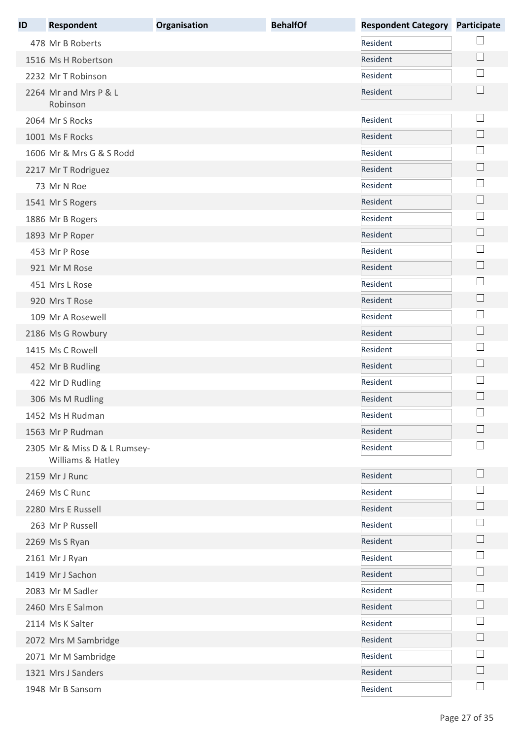| ID | <b>Respondent</b>                                 | Organisation | <b>BehalfOf</b> | <b>Respondent Category</b> | <b>Participate</b>          |
|----|---------------------------------------------------|--------------|-----------------|----------------------------|-----------------------------|
|    | 478 Mr B Roberts                                  |              |                 | Resident                   |                             |
|    | 1516 Ms H Robertson                               |              |                 | Resident                   | $\Box$                      |
|    | 2232 Mr T Robinson                                |              |                 | Resident                   |                             |
|    | 2264 Mr and Mrs P & L<br>Robinson                 |              |                 | Resident                   |                             |
|    | 2064 Mr S Rocks                                   |              |                 | Resident                   | $\mathbb{R}^n$              |
|    | 1001 Ms F Rocks                                   |              |                 | Resident                   | $\Box$                      |
|    | 1606 Mr & Mrs G & S Rodd                          |              |                 | Resident                   |                             |
|    | 2217 Mr T Rodriguez                               |              |                 | Resident                   | $\Box$                      |
|    | 73 Mr N Roe                                       |              |                 | Resident                   |                             |
|    | 1541 Mr S Rogers                                  |              |                 | Resident                   | $\mathbb{R}^n$              |
|    | 1886 Mr B Rogers                                  |              |                 | Resident                   | ×                           |
|    | 1893 Mr P Roper                                   |              |                 | Resident                   | $\mathbf{L}$                |
|    | 453 Mr P Rose                                     |              |                 | Resident                   | $\mathbf{L}$                |
|    | 921 Mr M Rose                                     |              |                 | Resident                   | $\mathcal{L}_{\mathcal{A}}$ |
|    | 451 Mrs L Rose                                    |              |                 | Resident                   | $\mathbb{R}^n$              |
|    | 920 Mrs T Rose                                    |              |                 | Resident                   | $\overline{\phantom{a}}$    |
|    | 109 Mr A Rosewell                                 |              |                 | Resident                   |                             |
|    | 2186 Ms G Rowbury                                 |              |                 | Resident                   | $\Box$                      |
|    | 1415 Ms C Rowell                                  |              |                 | Resident                   |                             |
|    | 452 Mr B Rudling                                  |              |                 | Resident                   | $\mathbf{L}$                |
|    | 422 Mr D Rudling                                  |              |                 | Resident                   |                             |
|    | 306 Ms M Rudling                                  |              |                 | Resident                   |                             |
|    | 1452 Ms H Rudman                                  |              |                 | Resident                   | $\Box$                      |
|    | 1563 Mr P Rudman                                  |              |                 | Resident                   |                             |
|    | 2305 Mr & Miss D & L Rumsey-<br>Williams & Hatley |              |                 | Resident                   |                             |
|    | 2159 Mr J Runc                                    |              |                 | Resident                   | $\mathsf{L}$                |
|    | 2469 Ms C Runc                                    |              |                 | Resident                   |                             |
|    | 2280 Mrs E Russell                                |              |                 | Resident                   |                             |
|    | 263 Mr P Russell                                  |              |                 | Resident                   |                             |
|    | 2269 Ms S Ryan                                    |              |                 | Resident                   |                             |
|    | 2161 Mr J Ryan                                    |              |                 | Resident                   |                             |
|    | 1419 Mr J Sachon                                  |              |                 | Resident                   |                             |
|    | 2083 Mr M Sadler                                  |              |                 | Resident                   |                             |
|    | 2460 Mrs E Salmon                                 |              |                 | Resident                   | $\vert \ \ \vert$           |
|    | 2114 Ms K Salter                                  |              |                 | Resident                   |                             |
|    | 2072 Mrs M Sambridge                              |              |                 | Resident                   | $\vert \ \ \vert$           |
|    | 2071 Mr M Sambridge                               |              |                 | Resident                   |                             |
|    | 1321 Mrs J Sanders                                |              |                 | Resident                   | $\mathbb{R}$                |
|    | 1948 Mr B Sansom                                  |              |                 | Resident                   | $\vert \ \ \vert$           |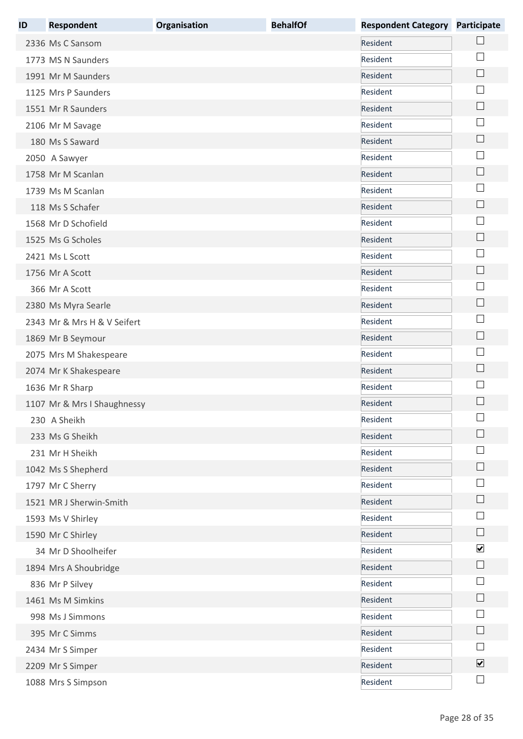| ID | <b>Respondent</b>           | Organisation | <b>BehalfOf</b> | <b>Respondent Category Participate</b> |                          |
|----|-----------------------------|--------------|-----------------|----------------------------------------|--------------------------|
|    | 2336 Ms C Sansom            |              |                 | Resident                               |                          |
|    | 1773 MS N Saunders          |              |                 | Resident                               |                          |
|    | 1991 Mr M Saunders          |              |                 | Resident                               | $\Box$                   |
|    | 1125 Mrs P Saunders         |              |                 | Resident                               |                          |
|    | 1551 Mr R Saunders          |              |                 | Resident                               | $\Box$                   |
|    | 2106 Mr M Savage            |              |                 | Resident                               |                          |
|    | 180 Ms S Saward             |              |                 | Resident                               |                          |
|    | 2050 A Sawyer               |              |                 | Resident                               |                          |
|    | 1758 Mr M Scanlan           |              |                 | Resident                               |                          |
|    | 1739 Ms M Scanlan           |              |                 | Resident                               |                          |
|    | 118 Ms S Schafer            |              |                 | Resident                               | $\Box$                   |
|    | 1568 Mr D Schofield         |              |                 | Resident                               |                          |
|    | 1525 Ms G Scholes           |              |                 | Resident                               |                          |
|    | 2421 Ms L Scott             |              |                 | Resident                               | $\mathbb{R}^n$           |
|    | 1756 Mr A Scott             |              |                 | Resident                               | $\Box$                   |
|    | 366 Mr A Scott              |              |                 | Resident                               |                          |
|    | 2380 Ms Myra Searle         |              |                 | Resident                               |                          |
|    | 2343 Mr & Mrs H & V Seifert |              |                 | Resident                               |                          |
|    | 1869 Mr B Seymour           |              |                 | Resident                               |                          |
|    | 2075 Mrs M Shakespeare      |              |                 | Resident                               |                          |
|    | 2074 Mr K Shakespeare       |              |                 | Resident                               | $\Box$                   |
|    | 1636 Mr R Sharp             |              |                 | Resident                               |                          |
|    | 1107 Mr & Mrs I Shaughnessy |              |                 | Resident                               |                          |
|    | 230 A Sheikh                |              |                 | Resident                               | $\Box$                   |
|    | 233 Ms G Sheikh             |              |                 | Resident                               |                          |
|    | 231 Mr H Sheikh             |              |                 | Resident                               |                          |
|    | 1042 Ms S Shepherd          |              |                 | Resident                               |                          |
|    | 1797 Mr C Sherry            |              |                 | Resident                               |                          |
|    | 1521 MR J Sherwin-Smith     |              |                 | Resident                               |                          |
|    | 1593 Ms V Shirley           |              |                 | Resident                               |                          |
|    | 1590 Mr C Shirley           |              |                 | Resident                               | $\Box$                   |
|    | 34 Mr D Shoolheifer         |              |                 | Resident                               | $\blacktriangledown$     |
|    | 1894 Mrs A Shoubridge       |              |                 | Resident                               | $\Box$                   |
|    | 836 Mr P Silvey             |              |                 | Resident                               |                          |
|    | 1461 Ms M Simkins           |              |                 | Resident                               |                          |
|    | 998 Ms J Simmons            |              |                 | Resident                               |                          |
|    | 395 Mr C Simms              |              |                 | Resident                               |                          |
|    | 2434 Mr S Simper            |              |                 | Resident                               |                          |
|    | 2209 Mr S Simper            |              |                 | Resident                               | $\blacktriangledown$     |
|    | 1088 Mrs S Simpson          |              |                 | Resident                               | $\overline{\phantom{a}}$ |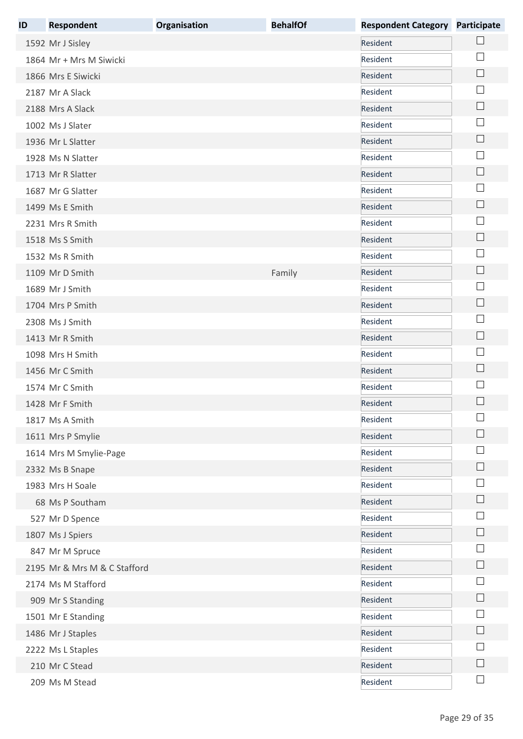| ID | <b>Respondent</b>            | Organisation | <b>BehalfOf</b> | <b>Respondent Category</b> | <b>Participate</b>          |
|----|------------------------------|--------------|-----------------|----------------------------|-----------------------------|
|    | 1592 Mr J Sisley             |              |                 | Resident                   |                             |
|    | 1864 Mr + Mrs M Siwicki      |              |                 | Resident                   |                             |
|    | 1866 Mrs E Siwicki           |              |                 | Resident                   | $\Box$                      |
|    | 2187 Mr A Slack              |              |                 | Resident                   |                             |
|    | 2188 Mrs A Slack             |              |                 | Resident                   | $\Box$                      |
|    | 1002 Ms J Slater             |              |                 | Resident                   | $\mathbb{R}^n$              |
|    | 1936 Mr L Slatter            |              |                 | Resident                   | $\Box$                      |
|    | 1928 Ms N Slatter            |              |                 | Resident                   | $\mathbb{R}^n$              |
|    | 1713 Mr R Slatter            |              |                 | Resident                   |                             |
|    | 1687 Mr G Slatter            |              |                 | Resident                   | ×                           |
|    | 1499 Ms E Smith              |              |                 | Resident                   |                             |
|    | 2231 Mrs R Smith             |              |                 | Resident                   | ×                           |
|    | 1518 Ms S Smith              |              |                 | Resident                   | $\mathcal{L}_{\mathcal{A}}$ |
|    | 1532 Ms R Smith              |              |                 | Resident                   | $\sim$                      |
|    | 1109 Mr D Smith              |              | Family          | Resident                   | $\mathbb{R}^n$              |
|    | 1689 Mr J Smith              |              |                 | Resident                   | ×                           |
|    | 1704 Mrs P Smith             |              |                 | Resident                   | $\Box$                      |
|    | 2308 Ms J Smith              |              |                 | Resident                   |                             |
|    | 1413 Mr R Smith              |              |                 | Resident                   | $\Box$                      |
|    | 1098 Mrs H Smith             |              |                 | Resident                   |                             |
|    | 1456 Mr C Smith              |              |                 | Resident                   | $\Box$                      |
|    | 1574 Mr C Smith              |              |                 | Resident                   |                             |
|    | 1428 Mr F Smith              |              |                 | Resident                   |                             |
|    | 1817 Ms A Smith              |              |                 | Resident                   |                             |
|    | 1611 Mrs P Smylie            |              |                 | Resident                   | $\mathbb{R}^n$              |
|    | 1614 Mrs M Smylie-Page       |              |                 | Resident                   | ×                           |
|    | 2332 Ms B Snape              |              |                 | Resident                   |                             |
|    | 1983 Mrs H Soale             |              |                 | Resident                   |                             |
|    | 68 Ms P Southam              |              |                 | Resident                   |                             |
|    | 527 Mr D Spence              |              |                 | Resident                   |                             |
|    | 1807 Ms J Spiers             |              |                 | Resident                   |                             |
|    | 847 Mr M Spruce              |              |                 | Resident                   |                             |
|    | 2195 Mr & Mrs M & C Stafford |              |                 | Resident                   | <b>I</b>                    |
|    | 2174 Ms M Stafford           |              |                 | Resident                   |                             |
|    | 909 Mr S Standing            |              |                 | Resident                   | $\mathbf{L}$                |
|    | 1501 Mr E Standing           |              |                 | Resident                   |                             |
|    | 1486 Mr J Staples            |              |                 | Resident                   |                             |
|    | 2222 Ms L Staples            |              |                 | Resident                   |                             |
|    | 210 Mr C Stead               |              |                 | Resident                   | $\mathbb{R}^n$              |
|    | 209 Ms M Stead               |              |                 | Resident                   | $\Box$                      |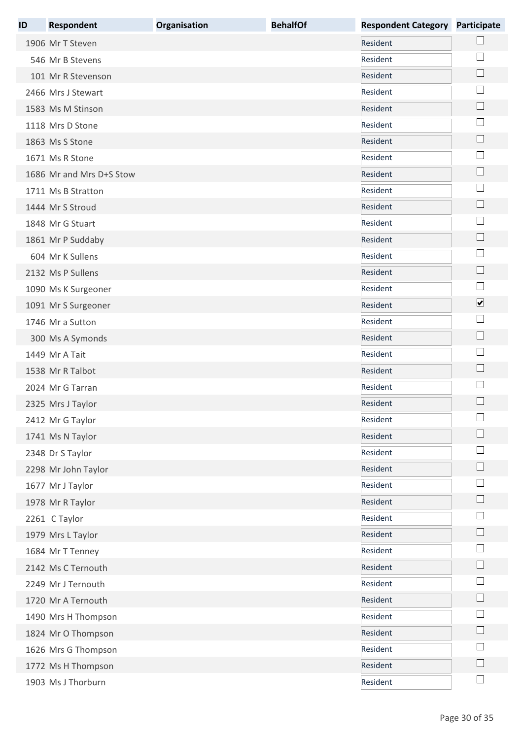| ID | <b>Respondent</b>        | Organisation | <b>BehalfOf</b> | <b>Respondent Category</b> | <b>Participate</b>          |
|----|--------------------------|--------------|-----------------|----------------------------|-----------------------------|
|    | 1906 Mr T Steven         |              |                 | Resident                   |                             |
|    | 546 Mr B Stevens         |              |                 | Resident                   |                             |
|    | 101 Mr R Stevenson       |              |                 | Resident                   | $\Box$                      |
|    | 2466 Mrs J Stewart       |              |                 | Resident                   |                             |
|    | 1583 Ms M Stinson        |              |                 | Resident                   | $\Box$                      |
|    | 1118 Mrs D Stone         |              |                 | Resident                   | ×                           |
|    | 1863 Ms S Stone          |              |                 | Resident                   | $\Box$                      |
|    | 1671 Ms R Stone          |              |                 | Resident                   | ×                           |
|    | 1686 Mr and Mrs D+S Stow |              |                 | Resident                   |                             |
|    | 1711 Ms B Stratton       |              |                 | Resident                   |                             |
|    | 1444 Mr S Stroud         |              |                 | Resident                   |                             |
|    | 1848 Mr G Stuart         |              |                 | Resident                   | ×                           |
|    | 1861 Mr P Suddaby        |              |                 | Resident                   | $\mathcal{L}_{\mathcal{A}}$ |
|    | 604 Mr K Sullens         |              |                 | Resident                   | $\sim$                      |
|    | 2132 Ms P Sullens        |              |                 | Resident                   | $\mathbb{R}^n$              |
|    | 1090 Ms K Surgeoner      |              |                 | Resident                   | $\mathbb{R}^n$              |
|    | 1091 Mr S Surgeoner      |              |                 | Resident                   | $\blacktriangledown$        |
|    | 1746 Mr a Sutton         |              |                 | Resident                   |                             |
|    | 300 Ms A Symonds         |              |                 | Resident                   | $\Box$                      |
|    | 1449 Mr A Tait           |              |                 | Resident                   |                             |
|    | 1538 Mr R Talbot         |              |                 | Resident                   | $\Box$                      |
|    | 2024 Mr G Tarran         |              |                 | Resident                   |                             |
|    | 2325 Mrs J Taylor        |              |                 | Resident                   |                             |
|    | 2412 Mr G Taylor         |              |                 | Resident                   |                             |
|    | 1741 Ms N Taylor         |              |                 | Resident                   | $\mathbf{L}$                |
|    | 2348 Dr S Taylor         |              |                 | Resident                   | ×                           |
|    | 2298 Mr John Taylor      |              |                 | Resident                   | $\mathbb{R}^n$              |
|    | 1677 Mr J Taylor         |              |                 | Resident                   |                             |
|    | 1978 Mr R Taylor         |              |                 | Resident                   |                             |
|    | 2261 C Taylor            |              |                 | Resident                   |                             |
|    | 1979 Mrs L Taylor        |              |                 | Resident                   | $\mathbb{R}^n$              |
|    | 1684 Mr T Tenney         |              |                 | Resident                   | $\vert \ \ \vert$           |
|    | 2142 Ms C Ternouth       |              |                 | Resident                   | $\mathcal{L}_{\mathcal{A}}$ |
|    | 2249 Mr J Ternouth       |              |                 | Resident                   |                             |
|    | 1720 Mr A Ternouth       |              |                 | Resident                   | $\mathbf{L}$                |
|    | 1490 Mrs H Thompson      |              |                 | Resident                   |                             |
|    | 1824 Mr O Thompson       |              |                 | Resident                   | $\mathbb{R}^n$              |
|    | 1626 Mrs G Thompson      |              |                 | Resident                   |                             |
|    | 1772 Ms H Thompson       |              |                 | Resident                   | $\Box$                      |
|    | 1903 Ms J Thorburn       |              |                 | Resident                   | $\Box$                      |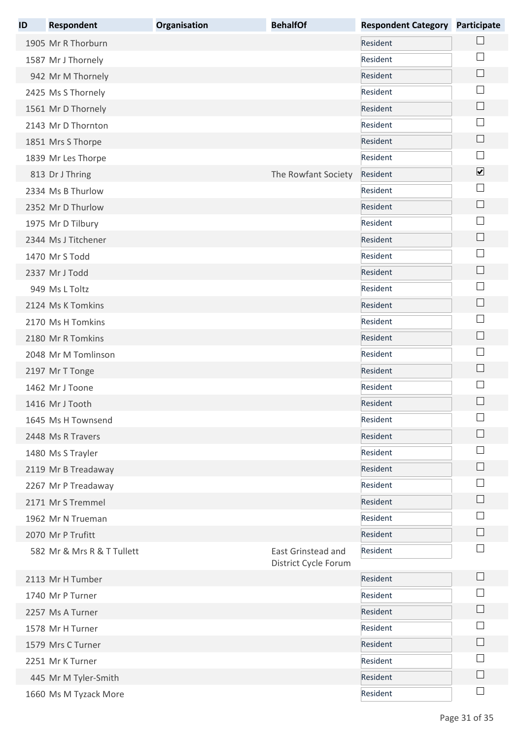| ID | <b>Respondent</b>          | Organisation | <b>BehalfOf</b>                            | <b>Respondent Category</b> | <b>Participate</b>       |
|----|----------------------------|--------------|--------------------------------------------|----------------------------|--------------------------|
|    | 1905 Mr R Thorburn         |              |                                            | Resident                   |                          |
|    | 1587 Mr J Thornely         |              |                                            | Resident                   |                          |
|    | 942 Mr M Thornely          |              |                                            | Resident                   | $\mathbb{R}$             |
|    | 2425 Ms S Thornely         |              |                                            | Resident                   |                          |
|    | 1561 Mr D Thornely         |              |                                            | Resident                   | $\mathbb{L}$             |
|    | 2143 Mr D Thornton         |              |                                            | Resident                   |                          |
|    | 1851 Mrs S Thorpe          |              |                                            | Resident                   | $\overline{\phantom{a}}$ |
|    | 1839 Mr Les Thorpe         |              |                                            | Resident                   |                          |
|    | 813 Dr J Thring            |              | The Rowfant Society                        | Resident                   | $\overline{\mathbf{v}}$  |
|    | 2334 Ms B Thurlow          |              |                                            | Resident                   |                          |
|    | 2352 Mr D Thurlow          |              |                                            | Resident                   | $\Box$                   |
|    | 1975 Mr D Tilbury          |              |                                            | Resident                   |                          |
|    | 2344 Ms J Titchener        |              |                                            | Resident                   |                          |
|    | 1470 Mr S Todd             |              |                                            | Resident                   |                          |
|    | 2337 Mr J Todd             |              |                                            | Resident                   |                          |
|    | 949 Ms L Toltz             |              |                                            | Resident                   |                          |
|    | 2124 Ms K Tomkins          |              |                                            | Resident                   |                          |
|    | 2170 Ms H Tomkins          |              |                                            | Resident                   |                          |
|    | 2180 Mr R Tomkins          |              |                                            | Resident                   |                          |
|    | 2048 Mr M Tomlinson        |              |                                            | Resident                   |                          |
|    | 2197 Mr T Tonge            |              |                                            | Resident                   |                          |
|    | 1462 Mr J Toone            |              |                                            | Resident                   |                          |
|    | 1416 Mr J Tooth            |              |                                            | Resident                   |                          |
|    | 1645 Ms H Townsend         |              |                                            | Resident                   |                          |
|    | 2448 Ms R Travers          |              |                                            | Resident                   |                          |
|    | 1480 Ms S Trayler          |              |                                            | Resident                   |                          |
|    | 2119 Mr B Treadaway        |              |                                            | Resident                   |                          |
|    | 2267 Mr P Treadaway        |              |                                            | Resident                   |                          |
|    | 2171 Mr S Tremmel          |              |                                            | Resident                   |                          |
|    | 1962 Mr N Trueman          |              |                                            | Resident                   |                          |
|    | 2070 Mr P Trufitt          |              |                                            | Resident                   |                          |
|    | 582 Mr & Mrs R & T Tullett |              | East Grinstead and<br>District Cycle Forum | Resident                   |                          |
|    | 2113 Mr H Tumber           |              |                                            | Resident                   |                          |
|    | 1740 Mr P Turner           |              |                                            | Resident                   |                          |
|    | 2257 Ms A Turner           |              |                                            | Resident                   |                          |
|    | 1578 Mr H Turner           |              |                                            | Resident                   |                          |
|    | 1579 Mrs C Turner          |              |                                            | Resident                   |                          |
|    | 2251 Mr K Turner           |              |                                            | Resident                   |                          |
|    | 445 Mr M Tyler-Smith       |              |                                            | Resident                   |                          |
|    | 1660 Ms M Tyzack More      |              |                                            | Resident                   |                          |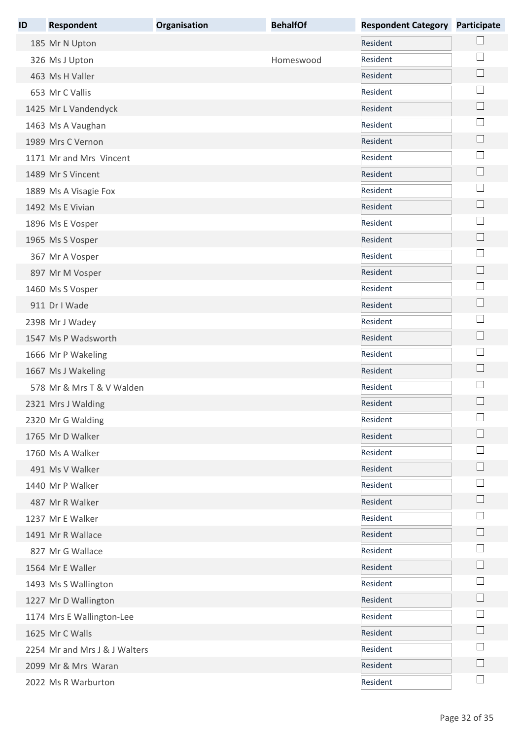| ID | <b>Respondent</b>             | Organisation | <b>BehalfOf</b> | <b>Respondent Category</b> | <b>Participate</b> |
|----|-------------------------------|--------------|-----------------|----------------------------|--------------------|
|    | 185 Mr N Upton                |              |                 | Resident                   |                    |
|    | 326 Ms J Upton                |              | Homeswood       | Resident                   |                    |
|    | 463 Ms H Valler               |              |                 | Resident                   |                    |
|    | 653 Mr C Vallis               |              |                 | Resident                   |                    |
|    | 1425 Mr L Vandendyck          |              |                 | Resident                   | L.                 |
|    | 1463 Ms A Vaughan             |              |                 | Resident                   |                    |
|    | 1989 Mrs C Vernon             |              |                 | Resident                   |                    |
|    | 1171 Mr and Mrs Vincent       |              |                 | Resident                   |                    |
|    | 1489 Mr S Vincent             |              |                 | Resident                   |                    |
|    | 1889 Ms A Visagie Fox         |              |                 | Resident                   |                    |
|    | 1492 Ms E Vivian              |              |                 | Resident                   |                    |
|    | 1896 Ms E Vosper              |              |                 | Resident                   |                    |
|    | 1965 Ms S Vosper              |              |                 | Resident                   |                    |
|    | 367 Mr A Vosper               |              |                 | Resident                   |                    |
|    | 897 Mr M Vosper               |              |                 | Resident                   |                    |
|    | 1460 Ms S Vosper              |              |                 | Resident                   |                    |
|    | 911 Dr I Wade                 |              |                 | Resident                   |                    |
|    | 2398 Mr J Wadey               |              |                 | Resident                   |                    |
|    | 1547 Ms P Wadsworth           |              |                 | Resident                   | └                  |
|    | 1666 Mr P Wakeling            |              |                 | Resident                   |                    |
|    | 1667 Ms J Wakeling            |              |                 | Resident                   | └                  |
|    | 578 Mr & Mrs T & V Walden     |              |                 | Resident                   |                    |
|    | 2321 Mrs J Walding            |              |                 | Resident                   |                    |
|    | 2320 Mr G Walding             |              |                 | Resident                   |                    |
|    | 1765 Mr D Walker              |              |                 | Resident                   |                    |
|    | 1760 Ms A Walker              |              |                 | Resident                   |                    |
|    | 491 Ms V Walker               |              |                 | Resident                   |                    |
|    | 1440 Mr P Walker              |              |                 | Resident                   |                    |
|    | 487 Mr R Walker               |              |                 | Resident                   |                    |
|    | 1237 Mr E Walker              |              |                 | Resident                   |                    |
|    | 1491 Mr R Wallace             |              |                 | Resident                   |                    |
|    | 827 Mr G Wallace              |              |                 | Resident                   |                    |
|    | 1564 Mr E Waller              |              |                 | Resident                   |                    |
|    | 1493 Ms S Wallington          |              |                 | Resident                   |                    |
|    | 1227 Mr D Wallington          |              |                 | Resident                   |                    |
|    | 1174 Mrs E Wallington-Lee     |              |                 | Resident                   |                    |
|    | 1625 Mr C Walls               |              |                 | Resident                   |                    |
|    | 2254 Mr and Mrs J & J Walters |              |                 | Resident                   |                    |
|    | 2099 Mr & Mrs Waran           |              |                 | Resident                   |                    |
|    | 2022 Ms R Warburton           |              |                 | Resident                   |                    |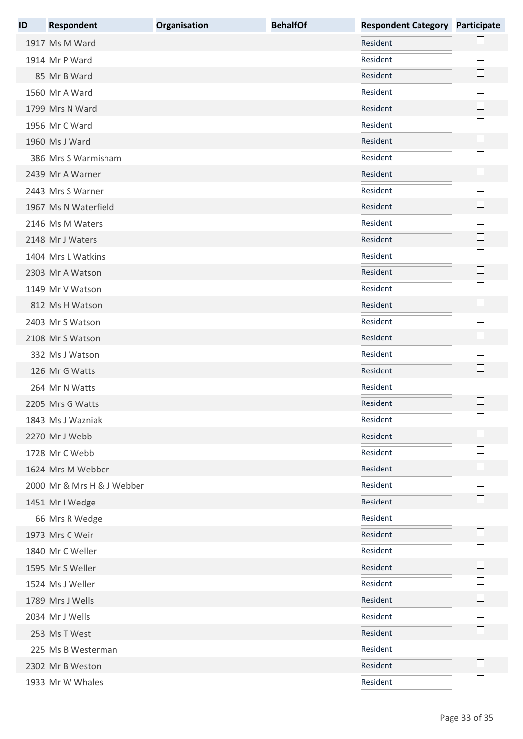| ID | <b>Respondent</b>          | Organisation | <b>BehalfOf</b> | <b>Respondent Category Participate</b> |                                       |
|----|----------------------------|--------------|-----------------|----------------------------------------|---------------------------------------|
|    | 1917 Ms M Ward             |              |                 | Resident                               |                                       |
|    | 1914 Mr P Ward             |              |                 | Resident                               |                                       |
|    | 85 Mr B Ward               |              |                 | Resident                               | $\Box$                                |
|    | 1560 Mr A Ward             |              |                 | Resident                               |                                       |
|    | 1799 Mrs N Ward            |              |                 | Resident                               | $\vert \ \ \vert$                     |
|    | 1956 Mr C Ward             |              |                 | Resident                               |                                       |
|    | 1960 Ms J Ward             |              |                 | Resident                               | $\mathbb{R}^n$                        |
|    | 386 Mrs S Warmisham        |              |                 | Resident                               |                                       |
|    | 2439 Mr A Warner           |              |                 | Resident                               |                                       |
|    | 2443 Mrs S Warner          |              |                 | Resident                               |                                       |
|    | 1967 Ms N Waterfield       |              |                 | Resident                               | $\Box$                                |
|    | 2146 Ms M Waters           |              |                 | Resident                               |                                       |
|    | 2148 Mr J Waters           |              |                 | Resident                               |                                       |
|    | 1404 Mrs L Watkins         |              |                 | Resident                               |                                       |
|    | 2303 Mr A Watson           |              |                 | Resident                               | L.                                    |
|    | 1149 Mr V Watson           |              |                 | Resident                               |                                       |
|    | 812 Ms H Watson            |              |                 | Resident                               | └                                     |
|    | 2403 Mr S Watson           |              |                 | Resident                               |                                       |
|    | 2108 Mr S Watson           |              |                 | Resident                               | $\overline{\phantom{a}}$              |
|    | 332 Ms J Watson            |              |                 | Resident                               |                                       |
|    | 126 Mr G Watts             |              |                 | Resident                               | $\Box$                                |
|    | 264 Mr N Watts             |              |                 | Resident                               |                                       |
|    | 2205 Mrs G Watts           |              |                 | Resident                               |                                       |
|    | 1843 Ms J Wazniak          |              |                 | Resident                               |                                       |
|    | 2270 Mr J Webb             |              |                 | Resident                               |                                       |
|    | 1728 Mr C Webb             |              |                 | Resident                               |                                       |
|    | 1624 Mrs M Webber          |              |                 | Resident                               |                                       |
|    | 2000 Mr & Mrs H & J Webber |              |                 | Resident                               |                                       |
|    | 1451 Mr I Wedge            |              |                 | Resident                               | $\Box$                                |
|    | 66 Mrs R Wedge             |              |                 | Resident                               |                                       |
|    | 1973 Mrs C Weir            |              |                 | Resident                               | $\Box$                                |
|    | 1840 Mr C Weller           |              |                 | Resident                               |                                       |
|    | 1595 Mr S Weller           |              |                 | Resident                               |                                       |
|    | 1524 Ms J Weller           |              |                 | Resident                               |                                       |
|    | 1789 Mrs J Wells           |              |                 | Resident                               |                                       |
|    | 2034 Mr J Wells            |              |                 | Resident                               |                                       |
|    | 253 Ms T West              |              |                 | Resident                               |                                       |
|    | 225 Ms B Westerman         |              |                 | Resident                               |                                       |
|    | 2302 Mr B Weston           |              |                 | Resident                               |                                       |
|    | 1933 Mr W Whales           |              |                 | Resident                               | $\begin{array}{c} \hline \end{array}$ |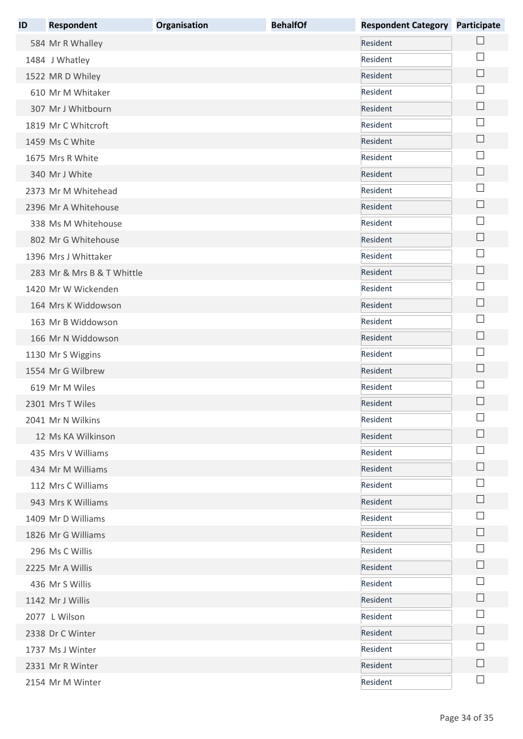| ID | <b>Respondent</b>          | Organisation | <b>BehalfOf</b> | <b>Respondent Category Participate</b> |                             |
|----|----------------------------|--------------|-----------------|----------------------------------------|-----------------------------|
|    | 584 Mr R Whalley           |              |                 | Resident                               |                             |
|    | 1484 J Whatley             |              |                 | Resident                               |                             |
|    | 1522 MR D Whiley           |              |                 | Resident                               | $\Box$                      |
|    | 610 Mr M Whitaker          |              |                 | Resident                               |                             |
|    | 307 Mr J Whitbourn         |              |                 | Resident                               |                             |
|    | 1819 Mr C Whitcroft        |              |                 | Resident                               |                             |
|    | 1459 Ms C White            |              |                 | Resident                               |                             |
|    | 1675 Mrs R White           |              |                 | Resident                               |                             |
|    | 340 Mr J White             |              |                 | Resident                               |                             |
|    | 2373 Mr M Whitehead        |              |                 | Resident                               |                             |
|    | 2396 Mr A Whitehouse       |              |                 | Resident                               | $\Box$                      |
|    | 338 Ms M Whitehouse        |              |                 | Resident                               |                             |
|    | 802 Mr G Whitehouse        |              |                 | Resident                               |                             |
|    | 1396 Mrs J Whittaker       |              |                 | Resident                               |                             |
|    | 283 Mr & Mrs B & T Whittle |              |                 | Resident                               | L.                          |
|    | 1420 Mr W Wickenden        |              |                 | Resident                               |                             |
|    | 164 Mrs K Widdowson        |              |                 | Resident                               |                             |
|    | 163 Mr B Widdowson         |              |                 | Resident                               |                             |
|    | 166 Mr N Widdowson         |              |                 | Resident                               | $\mathcal{L}_{\mathcal{A}}$ |
|    | 1130 Mr S Wiggins          |              |                 | Resident                               |                             |
|    | 1554 Mr G Wilbrew          |              |                 | Resident                               | $\Box$                      |
|    | 619 Mr M Wiles             |              |                 | Resident                               |                             |
|    | 2301 Mrs T Wiles           |              |                 | Resident                               |                             |
|    | 2041 Mr N Wilkins          |              |                 | Resident                               |                             |
|    | 12 Ms KA Wilkinson         |              |                 | Resident                               |                             |
|    | 435 Mrs V Williams         |              |                 | Resident                               |                             |
|    | 434 Mr M Williams          |              |                 | Resident                               |                             |
|    | 112 Mrs C Williams         |              |                 | Resident                               |                             |
|    | 943 Mrs K Williams         |              |                 | Resident                               |                             |
|    | 1409 Mr D Williams         |              |                 | Resident                               |                             |
|    | 1826 Mr G Williams         |              |                 | Resident                               |                             |
|    | 296 Ms C Willis            |              |                 | Resident                               |                             |
|    | 2225 Mr A Willis           |              |                 | Resident                               |                             |
|    | 436 Mr S Willis            |              |                 | Resident                               |                             |
|    | 1142 Mr J Willis           |              |                 | Resident                               |                             |
|    | 2077 L Wilson              |              |                 | Resident                               |                             |
|    | 2338 Dr C Winter           |              |                 | Resident                               |                             |
|    | 1737 Ms J Winter           |              |                 | Resident                               |                             |
|    | 2331 Mr R Winter           |              |                 | Resident                               |                             |
|    | 2154 Mr M Winter           |              |                 | Resident                               | $\overline{\phantom{a}}$    |